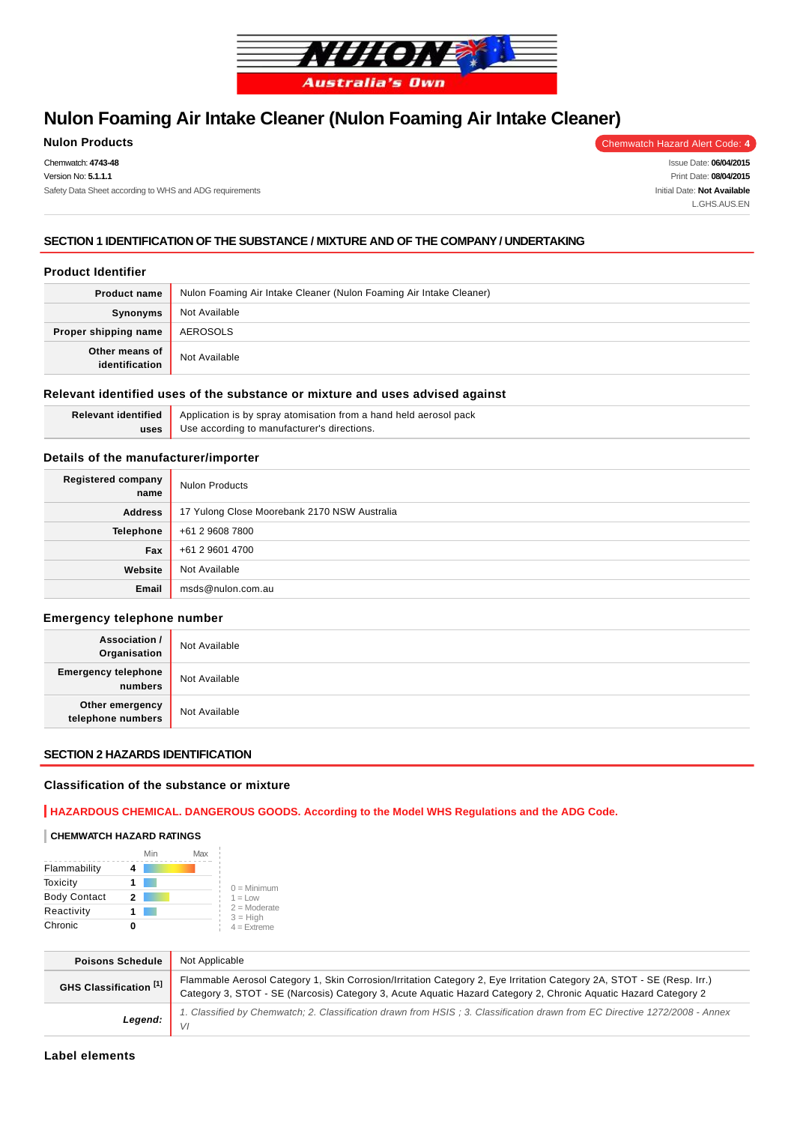

# **Nulon Foaming Air Intake Cleaner (Nulon Foaming Air Intake Cleaner)**

## **Nulon Products** Chemwatch Hazard Alert Code: 4

Chemwatch: **4743-48** Version No: **5.1.1.1** Safety Data Sheet according to WHS and ADG requirements

Issue Date: **06/04/2015** Print Date: **08/04/2015** Initial Date: **Not Available** L.GHS.AUS.EN

## **SECTION 1 IDENTIFICATION OF THE SUBSTANCE / MIXTURE AND OF THE COMPANY / UNDERTAKING**

### **Product Identifier**

| <b>Product name</b>              | Nulon Foaming Air Intake Cleaner (Nulon Foaming Air Intake Cleaner) |  |
|----------------------------------|---------------------------------------------------------------------|--|
| <b>Synonyms</b>                  | Not Available                                                       |  |
| Proper shipping name             | AEROSOLS                                                            |  |
| Other means of<br>identification | Not Available                                                       |  |

#### **Relevant identified uses of the substance or mixture and uses advised against**

| Relevant identified | Application is by spray atomisation from a hand held aerosol pack |
|---------------------|-------------------------------------------------------------------|
| uses                | Use according to manufacturer's directions.                       |
|                     |                                                                   |

## **Details of the manufacturer/importer**

| <b>Registered company</b><br>name | <b>Nulon Products</b>                        |
|-----------------------------------|----------------------------------------------|
| <b>Address</b>                    | 17 Yulong Close Moorebank 2170 NSW Australia |
| Telephone                         | +61 2 9608 7800                              |
| Fax                               | +61 2 9601 4700                              |
| Website                           | Not Available                                |
| Email                             | msds@nulon.com.au                            |

### **Emergency telephone number**

| <b>Association /</b><br>Organisation  | Not Available |
|---------------------------------------|---------------|
| <b>Emergency telephone</b><br>numbers | Not Available |
| Other emergency<br>telephone numbers  | Not Available |

## **SECTION 2 HAZARDS IDENTIFICATION**

## **Classification of the substance or mixture**

## **HAZARDOUS CHEMICAL. DANGEROUS GOODS. According to the Model WHS Regulations and the ADG Code.**

### **CHEMWATCH HAZARD RATINGS**

|                     | Min | Max |                              |
|---------------------|-----|-----|------------------------------|
| Flammability        |     |     |                              |
| Toxicity            |     |     | $0 =$ Minimum                |
| <b>Body Contact</b> | 2   |     | $1 = 1$ OW                   |
| Reactivity          |     |     | $2 =$ Moderate<br>$3 = High$ |
| Chronic             |     |     | $4 =$ Extreme                |

| <b>Poisons Schedule</b> | Not Applicable                                                                                                                                                                                                                            |
|-------------------------|-------------------------------------------------------------------------------------------------------------------------------------------------------------------------------------------------------------------------------------------|
| GHS Classification [1]  | Flammable Aerosol Category 1, Skin Corrosion/Irritation Category 2, Eye Irritation Category 2A, STOT - SE (Resp. Irr.)<br>Category 3, STOT - SE (Narcosis) Category 3, Acute Aquatic Hazard Category 2, Chronic Aquatic Hazard Category 2 |
| Legend:                 | 1. Classified by Chemwatch; 2. Classification drawn from HSIS; 3. Classification drawn from EC Directive 1272/2008 - Annex                                                                                                                |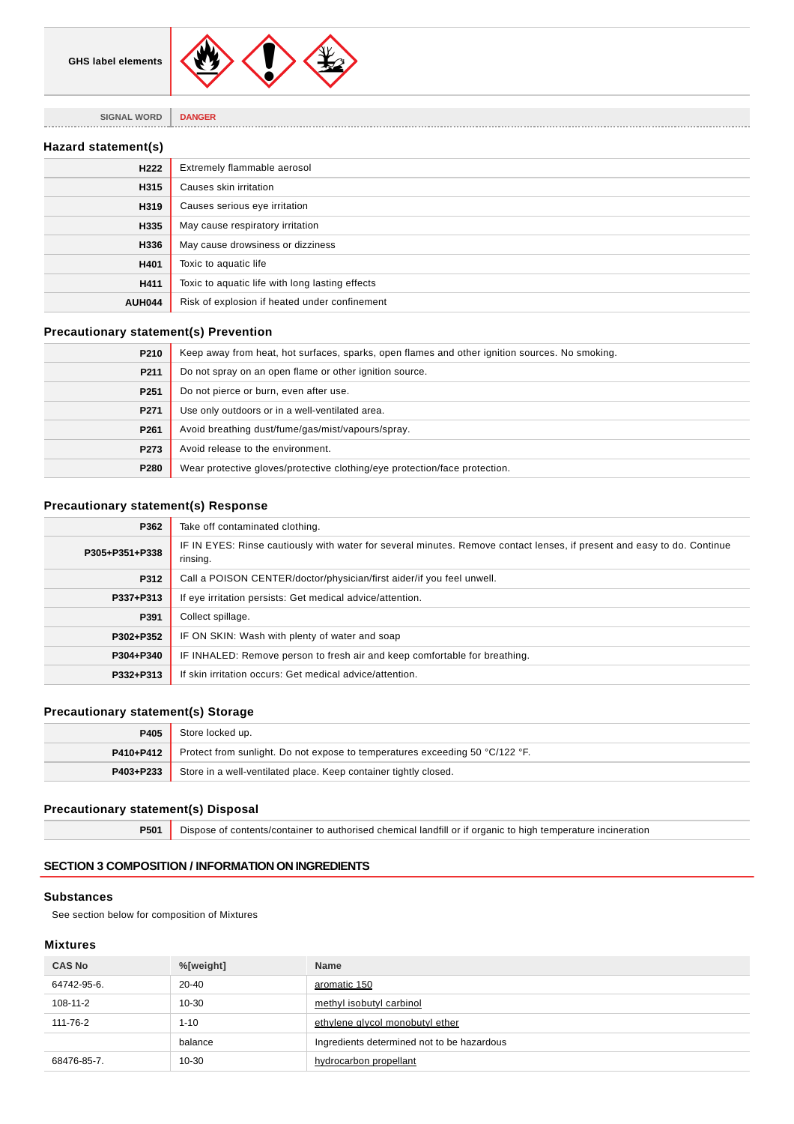

**SIGNAL WORD DANGER**

## **Hazard statement(s)**

| H <sub>222</sub> | Extremely flammable aerosol                     |
|------------------|-------------------------------------------------|
| H315             | Causes skin irritation                          |
| H319             | Causes serious eye irritation                   |
| H335             | May cause respiratory irritation                |
| H336             | May cause drowsiness or dizziness               |
| H401             | Toxic to aquatic life                           |
| H411             | Toxic to aquatic life with long lasting effects |
| <b>AUH044</b>    | Risk of explosion if heated under confinement   |

. . . . . . . . .

## **Precautionary statement(s) Prevention**

| P210             | Keep away from heat, hot surfaces, sparks, open flames and other ignition sources. No smoking. |
|------------------|------------------------------------------------------------------------------------------------|
| P211             | Do not spray on an open flame or other ignition source.                                        |
| P <sub>251</sub> | Do not pierce or burn, even after use.                                                         |
| P271             | Use only outdoors or in a well-ventilated area.                                                |
| P261             | Avoid breathing dust/fume/gas/mist/vapours/spray.                                              |
| P273             | Avoid release to the environment.                                                              |
| P280             | Wear protective gloves/protective clothing/eye protection/face protection.                     |

## **Precautionary statement(s) Response**

| P362           | Take off contaminated clothing.                                                                                                     |
|----------------|-------------------------------------------------------------------------------------------------------------------------------------|
| P305+P351+P338 | IF IN EYES: Rinse cautiously with water for several minutes. Remove contact lenses, if present and easy to do. Continue<br>rinsing. |
| P312           | Call a POISON CENTER/doctor/physician/first aider/if you feel unwell.                                                               |
| P337+P313      | If eye irritation persists: Get medical advice/attention.                                                                           |
| P391           | Collect spillage.                                                                                                                   |
| P302+P352      | IF ON SKIN: Wash with plenty of water and soap                                                                                      |
| P304+P340      | IF INHALED: Remove person to fresh air and keep comfortable for breathing.                                                          |
| P332+P313      | If skin irritation occurs: Get medical advice/attention.                                                                            |

## **Precautionary statement(s) Storage**

| P405      | Store locked up.                                                                              |
|-----------|-----------------------------------------------------------------------------------------------|
|           | <b>P410+P412</b> Protect from sunlight. Do not expose to temperatures exceeding 50 °C/122 °F. |
| P403+P233 | Store in a well-ventilated place. Keep container tightly closed.                              |

## **Precautionary statement(s) Disposal**

**P501** Dispose of contents/container to authorised chemical landfill or if organic to high temperature incineration

## **SECTION 3 COMPOSITION / INFORMATION ON INGREDIENTS**

## **Substances**

See section below for composition of Mixtures

## **Mixtures**

| <b>CAS No</b> | %[weight] | <b>Name</b>                                |
|---------------|-----------|--------------------------------------------|
| 64742-95-6.   | 20-40     | aromatic 150                               |
| 108-11-2      | $10 - 30$ | methyl isobutyl carbinol                   |
| 111-76-2      | $1 - 10$  | ethylene glycol monobutyl ether            |
|               | balance   | Ingredients determined not to be hazardous |
| 68476-85-7.   | $10 - 30$ | hydrocarbon propellant                     |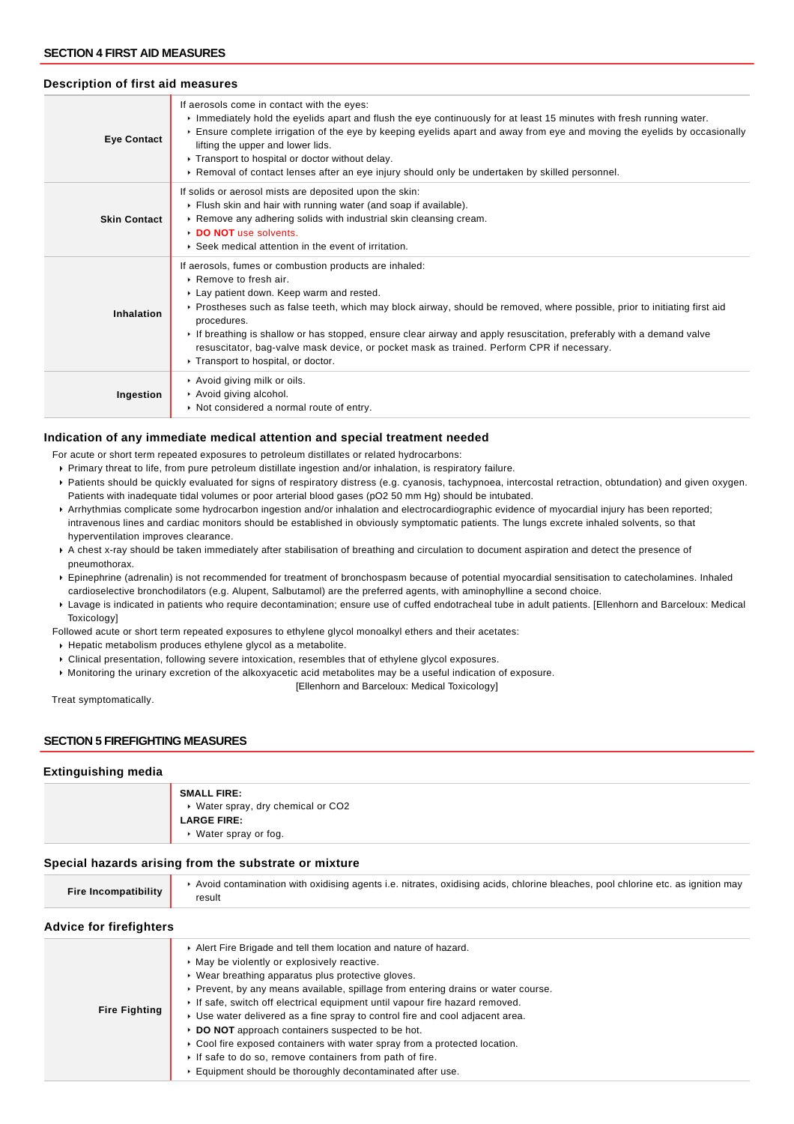## **Description of first aid measures**

| <b>Eye Contact</b>  | If aerosols come in contact with the eyes:<br>Inmediately hold the eyelids apart and flush the eye continuously for at least 15 minutes with fresh running water.<br>Ensure complete irrigation of the eye by keeping eyelids apart and away from eye and moving the eyelids by occasionally<br>lifting the upper and lower lids.<br>▶ Transport to hospital or doctor without delay.<br>► Removal of contact lenses after an eye injury should only be undertaken by skilled personnel.                                            |  |  |  |
|---------------------|-------------------------------------------------------------------------------------------------------------------------------------------------------------------------------------------------------------------------------------------------------------------------------------------------------------------------------------------------------------------------------------------------------------------------------------------------------------------------------------------------------------------------------------|--|--|--|
| <b>Skin Contact</b> | If solids or aerosol mists are deposited upon the skin:<br>Flush skin and hair with running water (and soap if available).<br>▶ Remove any adhering solids with industrial skin cleansing cream.<br>DO NOT use solvents.<br>▶ Seek medical attention in the event of irritation.                                                                                                                                                                                                                                                    |  |  |  |
| Inhalation          | If aerosols, fumes or combustion products are inhaled:<br>▶ Remove to fresh air.<br>Lay patient down. Keep warm and rested.<br>► Prostheses such as false teeth, which may block airway, should be removed, where possible, prior to initiating first aid<br>procedures.<br>If breathing is shallow or has stopped, ensure clear airway and apply resuscitation, preferably with a demand valve<br>resuscitator, bag-valve mask device, or pocket mask as trained. Perform CPR if necessary.<br>▶ Transport to hospital, or doctor. |  |  |  |
| Ingestion           | Avoid giving milk or oils.<br>Avoid giving alcohol.<br>Not considered a normal route of entry.                                                                                                                                                                                                                                                                                                                                                                                                                                      |  |  |  |

## **Indication of any immediate medical attention and special treatment needed**

For acute or short term repeated exposures to petroleum distillates or related hydrocarbons:

- Primary threat to life, from pure petroleum distillate ingestion and/or inhalation, is respiratory failure.
- Patients should be quickly evaluated for signs of respiratory distress (e.g. cyanosis, tachypnoea, intercostal retraction, obtundation) and given oxygen. Patients with inadequate tidal volumes or poor arterial blood gases (pO2 50 mm Hg) should be intubated.
- Arrhythmias complicate some hydrocarbon ingestion and/or inhalation and electrocardiographic evidence of myocardial injury has been reported; intravenous lines and cardiac monitors should be established in obviously symptomatic patients. The lungs excrete inhaled solvents, so that hyperventilation improves clearance.
- A chest x-ray should be taken immediately after stabilisation of breathing and circulation to document aspiration and detect the presence of pneumothorax.
- Epinephrine (adrenalin) is not recommended for treatment of bronchospasm because of potential myocardial sensitisation to catecholamines. Inhaled cardioselective bronchodilators (e.g. Alupent, Salbutamol) are the preferred agents, with aminophylline a second choice.
- Lavage is indicated in patients who require decontamination; ensure use of cuffed endotracheal tube in adult patients. [Ellenhorn and Barceloux: Medical Toxicology]

Followed acute or short term repeated exposures to ethylene glycol monoalkyl ethers and their acetates:

- Hepatic metabolism produces ethylene glycol as a metabolite.
- Clinical presentation, following severe intoxication, resembles that of ethylene glycol exposures.
- Monitoring the urinary excretion of the alkoxyacetic acid metabolites may be a useful indication of exposure.

[Ellenhorn and Barceloux: Medical Toxicology]

Treat symptomatically.

## **SECTION 5 FIREFIGHTING MEASURES**

### **Extinguishing media**

| <b>SMALL FIRE:</b>                 |
|------------------------------------|
| ▶ Water spray, dry chemical or CO2 |
| <b>LARGE FIRE:</b>                 |
| $\cdot$ Water spray or fog.        |

### **Special hazards arising from the substrate or mixture**

| Fire Incompatibility | Avoid contamination with oxidising agents i.e. nitrates, oxidising acids, chlorine bleaches, pool chlorine etc. as ignition may |
|----------------------|---------------------------------------------------------------------------------------------------------------------------------|
|                      | result                                                                                                                          |

## **Advice for firefighters**

|                      | Alert Fire Brigade and tell them location and nature of hazard.                   |
|----------------------|-----------------------------------------------------------------------------------|
|                      | • May be violently or explosively reactive.                                       |
|                      | ▶ Wear breathing apparatus plus protective gloves.                                |
|                      | ► Prevent, by any means available, spillage from entering drains or water course. |
|                      | If safe, switch off electrical equipment until vapour fire hazard removed.        |
| <b>Fire Fighting</b> | ► Use water delivered as a fine spray to control fire and cool adjacent area.     |
|                      | DO NOT approach containers suspected to be hot.                                   |
|                      | ► Cool fire exposed containers with water spray from a protected location.        |
|                      | If safe to do so, remove containers from path of fire.                            |
|                      | Equipment should be thoroughly decontaminated after use.                          |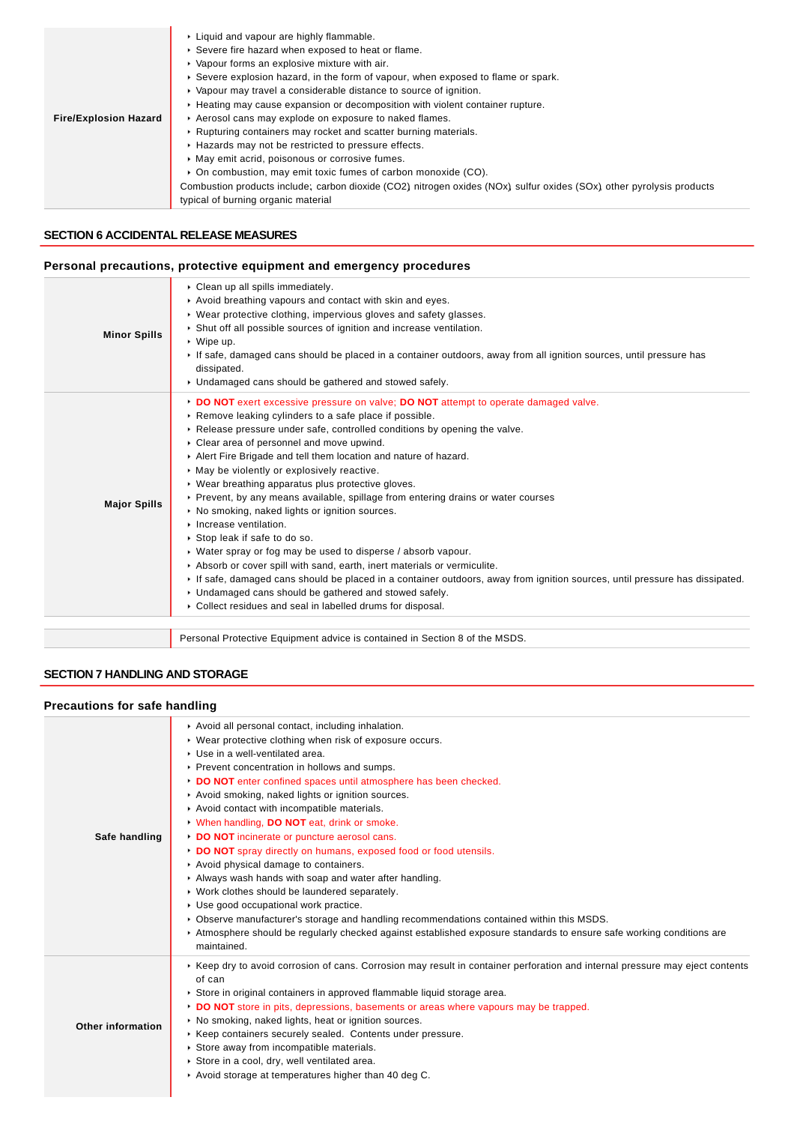| ▶ Severe fire hazard when exposed to heat or flame.<br>• Vapour forms an explosive mixture with air.<br>► Severe explosion hazard, in the form of vapour, when exposed to flame or spark. |
|-------------------------------------------------------------------------------------------------------------------------------------------------------------------------------------------|
|                                                                                                                                                                                           |
|                                                                                                                                                                                           |
|                                                                                                                                                                                           |
| ▶ Vapour may travel a considerable distance to source of ignition.                                                                                                                        |
| ► Heating may cause expansion or decomposition with violent container rupture.                                                                                                            |
| Aerosol cans may explode on exposure to naked flames.<br><b>Fire/Explosion Hazard</b>                                                                                                     |
| ▶ Rupturing containers may rocket and scatter burning materials.                                                                                                                          |
| ► Hazards may not be restricted to pressure effects.                                                                                                                                      |
| • May emit acrid, poisonous or corrosive fumes.                                                                                                                                           |
| • On combustion, may emit toxic fumes of carbon monoxide (CO).                                                                                                                            |
| Combustion products include; carbon dioxide (CO2) nitrogen oxides (NOx) sulfur oxides (SOx) other pyrolysis products                                                                      |
| typical of burning organic material                                                                                                                                                       |

## **SECTION 6 ACCIDENTAL RELEASE MEASURES**

## **Personal precautions, protective equipment and emergency procedures**

| <b>Minor Spills</b> | Clean up all spills immediately.<br>Avoid breathing vapours and contact with skin and eyes.<br>▶ Wear protective clothing, impervious gloves and safety glasses.<br>Shut off all possible sources of ignition and increase ventilation.<br>$\cdot$ Wipe up.<br>If safe, damaged cans should be placed in a container outdoors, away from all ignition sources, until pressure has<br>dissipated.<br>• Undamaged cans should be gathered and stowed safely.                                                                                                                                                                                                                                                                                                                                                                                                                                                                                                                                                                                                                 |
|---------------------|----------------------------------------------------------------------------------------------------------------------------------------------------------------------------------------------------------------------------------------------------------------------------------------------------------------------------------------------------------------------------------------------------------------------------------------------------------------------------------------------------------------------------------------------------------------------------------------------------------------------------------------------------------------------------------------------------------------------------------------------------------------------------------------------------------------------------------------------------------------------------------------------------------------------------------------------------------------------------------------------------------------------------------------------------------------------------|
| <b>Major Spills</b> | DO NOT exert excessive pressure on valve; DO NOT attempt to operate damaged valve.<br>▶ Remove leaking cylinders to a safe place if possible.<br>► Release pressure under safe, controlled conditions by opening the valve.<br>Clear area of personnel and move upwind.<br>Alert Fire Brigade and tell them location and nature of hazard.<br>• May be violently or explosively reactive.<br>• Wear breathing apparatus plus protective gloves.<br>▶ Prevent, by any means available, spillage from entering drains or water courses<br>• No smoking, naked lights or ignition sources.<br>$\blacktriangleright$ Increase ventilation.<br>▶ Stop leak if safe to do so.<br>▶ Water spray or fog may be used to disperse / absorb vapour.<br>Absorb or cover spill with sand, earth, inert materials or vermiculite.<br>If safe, damaged cans should be placed in a container outdoors, away from ignition sources, until pressure has dissipated.<br>• Undamaged cans should be gathered and stowed safely.<br>• Collect residues and seal in labelled drums for disposal. |
|                     | Personal Protective Equipment advice is contained in Section 8 of the MSDS.                                                                                                                                                                                                                                                                                                                                                                                                                                                                                                                                                                                                                                                                                                                                                                                                                                                                                                                                                                                                |

## **SECTION 7 HANDLING AND STORAGE**

## **Precautions for safe handling**

| Avoid all personal contact, including inhalation.<br>▶ Wear protective clothing when risk of exposure occurs.<br>▶ Use in a well-ventilated area.<br>▶ Prevent concentration in hollows and sumps.<br>DO NOT enter confined spaces until atmosphere has been checked.<br>Avoid smoking, naked lights or ignition sources.<br>Avoid contact with incompatible materials.<br>V When handling, DO NOT eat, drink or smoke.<br>DO NOT incinerate or puncture aerosol cans.<br>DO NOT spray directly on humans, exposed food or food utensils.<br>Avoid physical damage to containers.<br>Always wash hands with soap and water after handling.<br>▶ Work clothes should be laundered separately.<br>Use good occupational work practice.<br>▶ Observe manufacturer's storage and handling recommendations contained within this MSDS.<br>Atmosphere should be regularly checked against established exposure standards to ensure safe working conditions are<br>maintained. |
|-------------------------------------------------------------------------------------------------------------------------------------------------------------------------------------------------------------------------------------------------------------------------------------------------------------------------------------------------------------------------------------------------------------------------------------------------------------------------------------------------------------------------------------------------------------------------------------------------------------------------------------------------------------------------------------------------------------------------------------------------------------------------------------------------------------------------------------------------------------------------------------------------------------------------------------------------------------------------|
| ► Keep dry to avoid corrosion of cans. Corrosion may result in container perforation and internal pressure may eject contents<br>of can<br>Store in original containers in approved flammable liquid storage area.<br>DO NOT store in pits, depressions, basements or areas where vapours may be trapped.<br>▶ No smoking, naked lights, heat or ignition sources.<br>▶ Keep containers securely sealed. Contents under pressure.<br>Store away from incompatible materials.<br>Store in a cool, dry, well ventilated area.<br>Avoid storage at temperatures higher than 40 deg C.                                                                                                                                                                                                                                                                                                                                                                                      |
|                                                                                                                                                                                                                                                                                                                                                                                                                                                                                                                                                                                                                                                                                                                                                                                                                                                                                                                                                                         |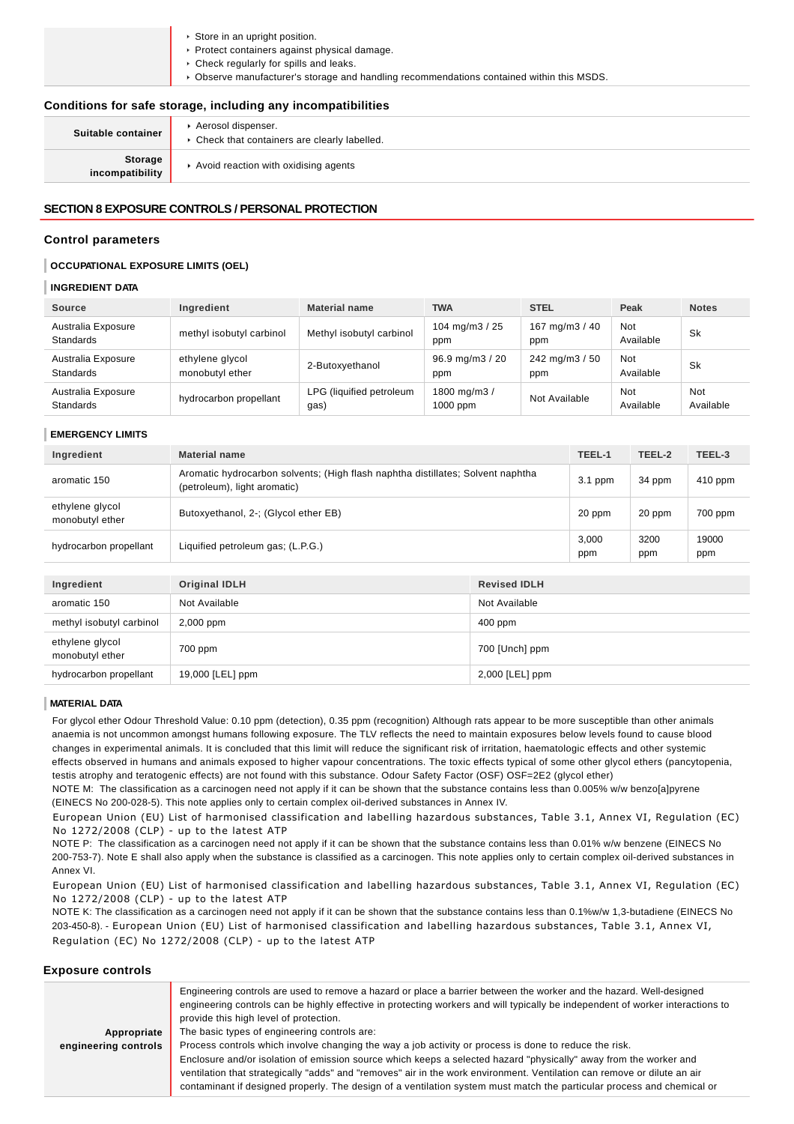| Store in an upright position.                                                             |
|-------------------------------------------------------------------------------------------|
| Protect containers against physical damage.                                               |
| ▶ Check regularly for spills and leaks.                                                   |
| ▶ Observe manufacturer's storage and handling recommendations contained within this MSDS. |
|                                                                                           |
| Conditions for safe storage, including any incompatibilities                              |

|                            | oonannono ioi barc storage, moraamg any moompatibintics             |
|----------------------------|---------------------------------------------------------------------|
| Suitable container         | Aerosol dispenser.<br>• Check that containers are clearly labelled. |
| Storage<br>incompatibility | Avoid reaction with oxidising agents                                |

## **SECTION 8 EXPOSURE CONTROLS / PERSONAL PROTECTION**

## **Control parameters**

### **OCCUPATIONAL EXPOSURE LIMITS (OEL)**

### **INGREDIENT DATA**

| <b>Source</b>                          | Ingredient                         | <b>Material name</b>             | <b>TWA</b>                | <b>STEL</b>           | Peak             | <b>Notes</b>     |
|----------------------------------------|------------------------------------|----------------------------------|---------------------------|-----------------------|------------------|------------------|
| Australia Exposure<br><b>Standards</b> | methyl isobutyl carbinol           | Methyl isobutyl carbinol         | 104 mg/m $3/25$<br>ppm    | 167 mg/m3 / 40<br>ppm | Not<br>Available | Sk               |
| Australia Exposure<br><b>Standards</b> | ethylene glycol<br>monobutyl ether | 2-Butoxyethanol                  | 96.9 mg/m3 / 20<br>ppm    | 242 mg/m3 / 50<br>ppm | Not<br>Available | Sk               |
| Australia Exposure<br><b>Standards</b> | hydrocarbon propellant             | LPG (liquified petroleum<br>gas) | 1800 mg/m3/<br>$1000$ ppm | Not Available         | Not<br>Available | Not<br>Available |

#### **EMERGENCY LIMITS**

| Ingredient                         | <b>Material name</b>                                                                                            |                     | TEEL-1       | TEEL-2      | TEEL-3       |
|------------------------------------|-----------------------------------------------------------------------------------------------------------------|---------------------|--------------|-------------|--------------|
| aromatic 150                       | Aromatic hydrocarbon solvents; (High flash naphtha distillates; Solvent naphtha<br>(petroleum), light aromatic) |                     | $3.1$ ppm    | 34 ppm      | 410 ppm      |
| ethylene glycol<br>monobutyl ether | Butoxyethanol, 2-; (Glycol ether EB)                                                                            |                     |              | 20 ppm      | 700 ppm      |
| hydrocarbon propellant             | Liquified petroleum gas; (L.P.G.)                                                                               |                     | 3,000<br>ppm | 3200<br>ppm | 19000<br>ppm |
|                                    |                                                                                                                 |                     |              |             |              |
| Ingredient                         | <b>Original IDLH</b>                                                                                            | <b>Revised IDLH</b> |              |             |              |
| aromatic 150                       | Not Available                                                                                                   | Not Available       |              |             |              |
| methyl isobutyl carbinol           | $2,000$ ppm                                                                                                     | $400$ ppm           |              |             |              |
| ethylene glycol<br>monobutyl ether | 700 ppm                                                                                                         | 700 [Unch] ppm      |              |             |              |

### **MATERIAL DATA**

For glycol ether Odour Threshold Value: 0.10 ppm (detection), 0.35 ppm (recognition) Although rats appear to be more susceptible than other animals anaemia is not uncommon amongst humans following exposure. The TLV reflects the need to maintain exposures below levels found to cause blood changes in experimental animals. It is concluded that this limit will reduce the significant risk of irritation, haematologic effects and other systemic effects observed in humans and animals exposed to higher vapour concentrations. The toxic effects typical of some other glycol ethers (pancytopenia, testis atrophy and teratogenic effects) are not found with this substance. Odour Safety Factor (OSF) OSF=2E2 (glycol ether)

NOTE M: The classification as a carcinogen need not apply if it can be shown that the substance contains less than 0.005% w/w benzo[a]pyrene (EINECS No 200-028-5). This note applies only to certain complex oil-derived substances in Annex IV.

hydrocarbon propellant 19,000 [LEL] ppm 2,000 [LEL] ppm

European Union (EU) List of harmonised classification and labelling hazardous substances, Table 3.1, Annex VI, Regulation (EC) No 1272/2008 (CLP) - up to the latest ATP

NOTE P: The classification as a carcinogen need not apply if it can be shown that the substance contains less than 0.01% w/w benzene (EINECS No 200-753-7). Note E shall also apply when the substance is classified as a carcinogen. This note applies only to certain complex oil-derived substances in Annex VI.

European Union (EU) List of harmonised classification and labelling hazardous substances, Table 3.1, Annex VI, Regulation (EC) No 1272/2008 (CLP) - up to the latest ATP

NOTE K: The classification as a carcinogen need not apply if it can be shown that the substance contains less than 0.1%w/w 1,3-butadiene (EINECS No 203-450-8). - European Union (EU) List of harmonised classification and labelling hazardous substances, Table 3.1, Annex VI, Regulation (EC) No 1272/2008 (CLP) - up to the latest ATP

### **Exposure controls**

| Appropriate          | Engineering controls are used to remove a hazard or place a barrier between the worker and the hazard. Well-designed<br>engineering controls can be highly effective in protecting workers and will typically be independent of worker interactions to<br>provide this high level of protection.<br>The basic types of engineering controls are: |
|----------------------|--------------------------------------------------------------------------------------------------------------------------------------------------------------------------------------------------------------------------------------------------------------------------------------------------------------------------------------------------|
|                      |                                                                                                                                                                                                                                                                                                                                                  |
| engineering controls | Process controls which involve changing the way a job activity or process is done to reduce the risk.                                                                                                                                                                                                                                            |
|                      | Enclosure and/or isolation of emission source which keeps a selected hazard "physically" away from the worker and                                                                                                                                                                                                                                |
|                      | ventilation that strategically "adds" and "removes" air in the work environment. Ventilation can remove or dilute an air                                                                                                                                                                                                                         |
|                      | contaminant if designed properly. The design of a ventilation system must match the particular process and chemical or                                                                                                                                                                                                                           |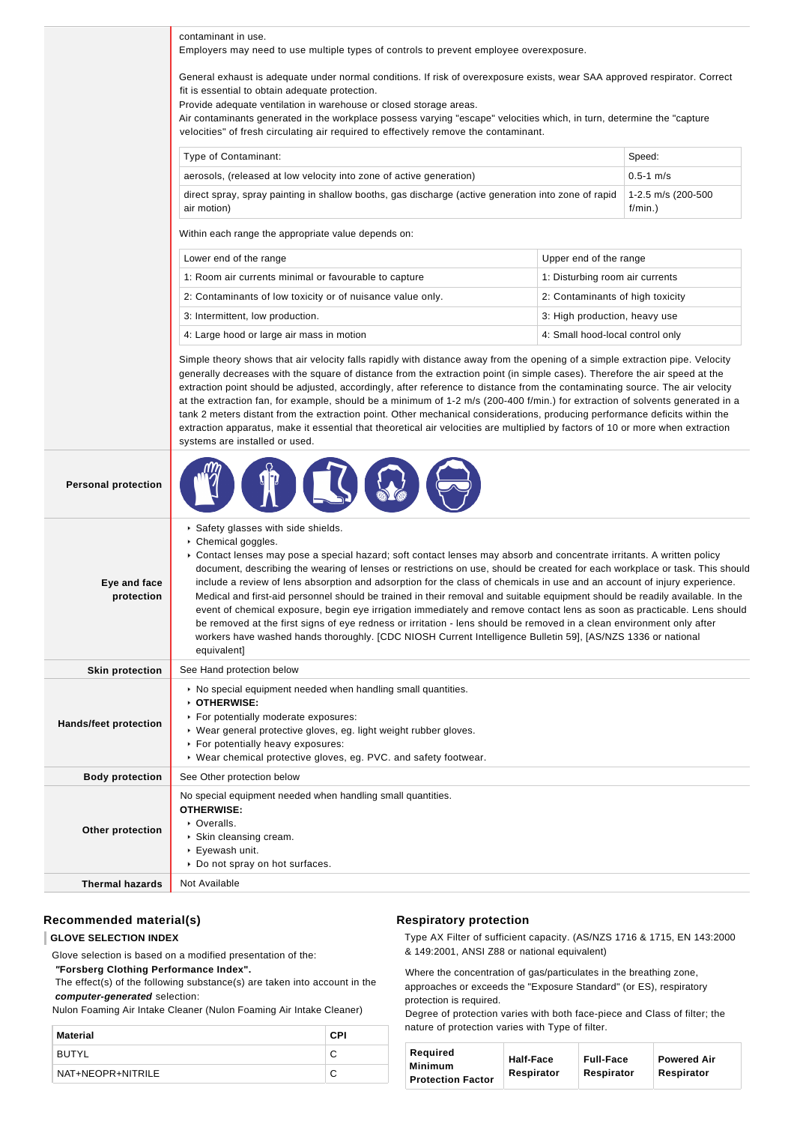| contaminant in use.<br>Employers may need to use multiple types of controls to prevent employee overexposure.<br>General exhaust is adequate under normal conditions. If risk of overexposure exists, wear SAA approved respirator. Correct<br>fit is essential to obtain adequate protection.<br>Provide adequate ventilation in warehouse or closed storage areas.<br>Air contaminants generated in the workplace possess varying "escape" velocities which, in turn, determine the "capture<br>velocities" of fresh circulating air required to effectively remove the contaminant.<br>Type of Contaminant:<br>Speed:<br>$0.5 - 1$ m/s<br>aerosols, (released at low velocity into zone of active generation)<br>direct spray, spray painting in shallow booths, gas discharge (active generation into zone of rapid<br>1-2.5 m/s (200-500<br>air motion)<br>f/min.)<br>Within each range the appropriate value depends on:<br>Lower end of the range<br>Upper end of the range<br>1: Room air currents minimal or favourable to capture<br>1: Disturbing room air currents<br>2: Contaminants of low toxicity or of nuisance value only.<br>2: Contaminants of high toxicity<br>3: Intermittent, low production.<br>3: High production, heavy use<br>4: Large hood or large air mass in motion<br>4: Small hood-local control only<br>Simple theory shows that air velocity falls rapidly with distance away from the opening of a simple extraction pipe. Velocity<br>generally decreases with the square of distance from the extraction point (in simple cases). Therefore the air speed at the<br>extraction point should be adjusted, accordingly, after reference to distance from the contaminating source. The air velocity<br>at the extraction fan, for example, should be a minimum of 1-2 m/s (200-400 f/min.) for extraction of solvents generated in a |  |
|--------------------------------------------------------------------------------------------------------------------------------------------------------------------------------------------------------------------------------------------------------------------------------------------------------------------------------------------------------------------------------------------------------------------------------------------------------------------------------------------------------------------------------------------------------------------------------------------------------------------------------------------------------------------------------------------------------------------------------------------------------------------------------------------------------------------------------------------------------------------------------------------------------------------------------------------------------------------------------------------------------------------------------------------------------------------------------------------------------------------------------------------------------------------------------------------------------------------------------------------------------------------------------------------------------------------------------------------------------------------------------------------------------------------------------------------------------------------------------------------------------------------------------------------------------------------------------------------------------------------------------------------------------------------------------------------------------------------------------------------------------------------------------------------------------------------------------------------------------------------------|--|
|                                                                                                                                                                                                                                                                                                                                                                                                                                                                                                                                                                                                                                                                                                                                                                                                                                                                                                                                                                                                                                                                                                                                                                                                                                                                                                                                                                                                                                                                                                                                                                                                                                                                                                                                                                                                                                                                          |  |
|                                                                                                                                                                                                                                                                                                                                                                                                                                                                                                                                                                                                                                                                                                                                                                                                                                                                                                                                                                                                                                                                                                                                                                                                                                                                                                                                                                                                                                                                                                                                                                                                                                                                                                                                                                                                                                                                          |  |
|                                                                                                                                                                                                                                                                                                                                                                                                                                                                                                                                                                                                                                                                                                                                                                                                                                                                                                                                                                                                                                                                                                                                                                                                                                                                                                                                                                                                                                                                                                                                                                                                                                                                                                                                                                                                                                                                          |  |
|                                                                                                                                                                                                                                                                                                                                                                                                                                                                                                                                                                                                                                                                                                                                                                                                                                                                                                                                                                                                                                                                                                                                                                                                                                                                                                                                                                                                                                                                                                                                                                                                                                                                                                                                                                                                                                                                          |  |
|                                                                                                                                                                                                                                                                                                                                                                                                                                                                                                                                                                                                                                                                                                                                                                                                                                                                                                                                                                                                                                                                                                                                                                                                                                                                                                                                                                                                                                                                                                                                                                                                                                                                                                                                                                                                                                                                          |  |
|                                                                                                                                                                                                                                                                                                                                                                                                                                                                                                                                                                                                                                                                                                                                                                                                                                                                                                                                                                                                                                                                                                                                                                                                                                                                                                                                                                                                                                                                                                                                                                                                                                                                                                                                                                                                                                                                          |  |
|                                                                                                                                                                                                                                                                                                                                                                                                                                                                                                                                                                                                                                                                                                                                                                                                                                                                                                                                                                                                                                                                                                                                                                                                                                                                                                                                                                                                                                                                                                                                                                                                                                                                                                                                                                                                                                                                          |  |
|                                                                                                                                                                                                                                                                                                                                                                                                                                                                                                                                                                                                                                                                                                                                                                                                                                                                                                                                                                                                                                                                                                                                                                                                                                                                                                                                                                                                                                                                                                                                                                                                                                                                                                                                                                                                                                                                          |  |
|                                                                                                                                                                                                                                                                                                                                                                                                                                                                                                                                                                                                                                                                                                                                                                                                                                                                                                                                                                                                                                                                                                                                                                                                                                                                                                                                                                                                                                                                                                                                                                                                                                                                                                                                                                                                                                                                          |  |
|                                                                                                                                                                                                                                                                                                                                                                                                                                                                                                                                                                                                                                                                                                                                                                                                                                                                                                                                                                                                                                                                                                                                                                                                                                                                                                                                                                                                                                                                                                                                                                                                                                                                                                                                                                                                                                                                          |  |
|                                                                                                                                                                                                                                                                                                                                                                                                                                                                                                                                                                                                                                                                                                                                                                                                                                                                                                                                                                                                                                                                                                                                                                                                                                                                                                                                                                                                                                                                                                                                                                                                                                                                                                                                                                                                                                                                          |  |
| tank 2 meters distant from the extraction point. Other mechanical considerations, producing performance deficits within the<br>extraction apparatus, make it essential that theoretical air velocities are multiplied by factors of 10 or more when extraction<br>systems are installed or used.                                                                                                                                                                                                                                                                                                                                                                                                                                                                                                                                                                                                                                                                                                                                                                                                                                                                                                                                                                                                                                                                                                                                                                                                                                                                                                                                                                                                                                                                                                                                                                         |  |
| <b>Personal protection</b>                                                                                                                                                                                                                                                                                                                                                                                                                                                                                                                                                                                                                                                                                                                                                                                                                                                                                                                                                                                                                                                                                                                                                                                                                                                                                                                                                                                                                                                                                                                                                                                                                                                                                                                                                                                                                                               |  |
| Safety glasses with side shields.<br>Chemical goggles.<br>► Contact lenses may pose a special hazard; soft contact lenses may absorb and concentrate irritants. A written policy<br>document, describing the wearing of lenses or restrictions on use, should be created for each workplace or task. This should<br>include a review of lens absorption and adsorption for the class of chemicals in use and an account of injury experience.<br>Eye and face<br>Medical and first-aid personnel should be trained in their removal and suitable equipment should be readily available. In the<br>protection<br>event of chemical exposure, begin eye irrigation immediately and remove contact lens as soon as practicable. Lens should<br>be removed at the first signs of eye redness or irritation - lens should be removed in a clean environment only after<br>workers have washed hands thoroughly. [CDC NIOSH Current Intelligence Bulletin 59], [AS/NZS 1336 or national<br>equivalent]                                                                                                                                                                                                                                                                                                                                                                                                                                                                                                                                                                                                                                                                                                                                                                                                                                                                         |  |
| See Hand protection below<br><b>Skin protection</b>                                                                                                                                                                                                                                                                                                                                                                                                                                                                                                                                                                                                                                                                                                                                                                                                                                                                                                                                                                                                                                                                                                                                                                                                                                                                                                                                                                                                                                                                                                                                                                                                                                                                                                                                                                                                                      |  |
| • No special equipment needed when handling small quantities.<br>OTHERWISE:<br>For potentially moderate exposures:<br><b>Hands/feet protection</b><br>▶ Wear general protective gloves, eg. light weight rubber gloves.<br>For potentially heavy exposures:<br>▶ Wear chemical protective gloves, eg. PVC. and safety footwear.                                                                                                                                                                                                                                                                                                                                                                                                                                                                                                                                                                                                                                                                                                                                                                                                                                                                                                                                                                                                                                                                                                                                                                                                                                                                                                                                                                                                                                                                                                                                          |  |
| See Other protection below<br><b>Body protection</b>                                                                                                                                                                                                                                                                                                                                                                                                                                                                                                                                                                                                                                                                                                                                                                                                                                                                                                                                                                                                                                                                                                                                                                                                                                                                                                                                                                                                                                                                                                                                                                                                                                                                                                                                                                                                                     |  |
| No special equipment needed when handling small quantities.<br><b>OTHERWISE:</b><br>• Overalls.<br>Other protection<br>▶ Skin cleansing cream.<br>▶ Eyewash unit.<br>▶ Do not spray on hot surfaces.                                                                                                                                                                                                                                                                                                                                                                                                                                                                                                                                                                                                                                                                                                                                                                                                                                                                                                                                                                                                                                                                                                                                                                                                                                                                                                                                                                                                                                                                                                                                                                                                                                                                     |  |
| <b>Thermal hazards</b><br>Not Available                                                                                                                                                                                                                                                                                                                                                                                                                                                                                                                                                                                                                                                                                                                                                                                                                                                                                                                                                                                                                                                                                                                                                                                                                                                                                                                                                                                                                                                                                                                                                                                                                                                                                                                                                                                                                                  |  |

## **Recommended material(s)**

### **GLOVE SELECTION INDEX**

Glove selection is based on a modified presentation of the:

 **"Forsberg Clothing Performance Index".**

 The effect(s) of the following substance(s) are taken into account in the **computer-generated** selection:

Nulon Foaming Air Intake Cleaner (Nulon Foaming Air Intake Cleaner)

| Material          | CPI |
|-------------------|-----|
| BUTYL             |     |
| NAT+NEOPR+NITRILE |     |

### **Respiratory protection**

Type AX Filter of sufficient capacity. (AS/NZS 1716 & 1715, EN 143:2000 & 149:2001, ANSI Z88 or national equivalent)

Where the concentration of gas/particulates in the breathing zone, approaches or exceeds the "Exposure Standard" (or ES), respiratory protection is required.

Degree of protection varies with both face-piece and Class of filter; the nature of protection varies with Type of filter.

| Reauired<br>Minimum<br><b>Protection Factor</b> | <b>Half-Face</b><br>Respirator | <b>Full-Face</b><br>Respirator | <b>Powered Air</b><br>Respirator |
|-------------------------------------------------|--------------------------------|--------------------------------|----------------------------------|
|-------------------------------------------------|--------------------------------|--------------------------------|----------------------------------|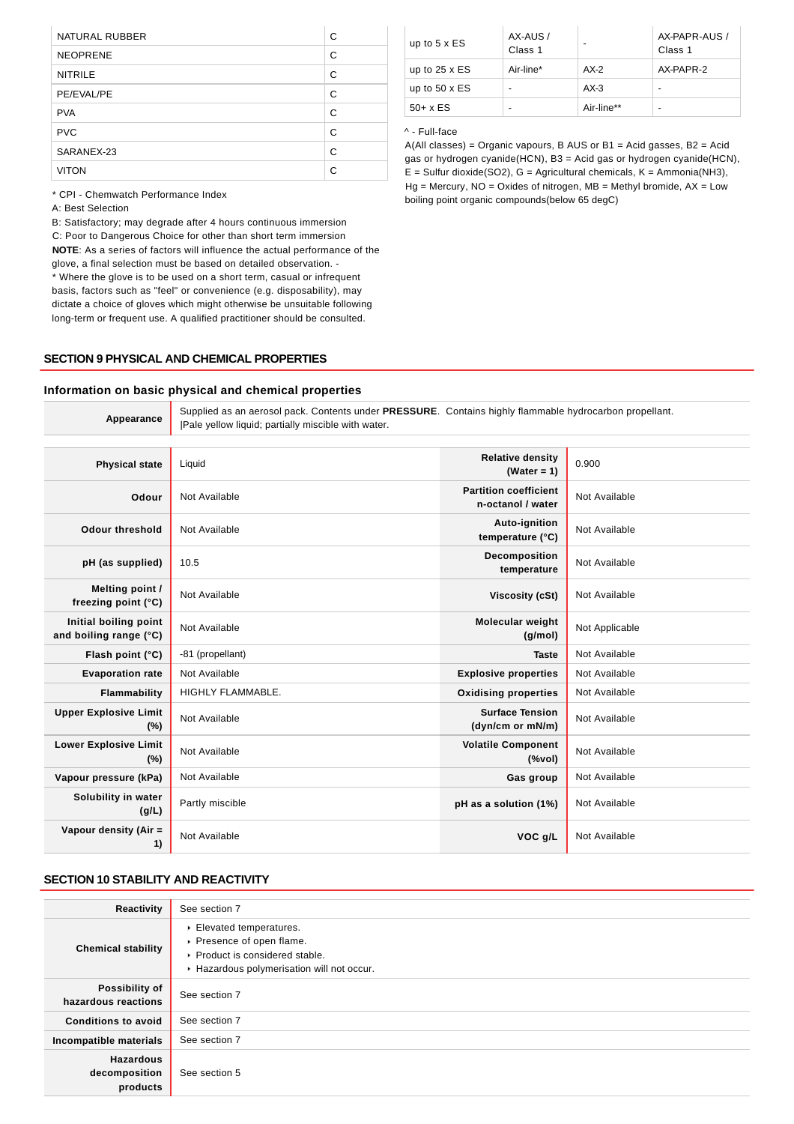| NATURAL RUBBER  | C |
|-----------------|---|
| <b>NEOPRENE</b> | C |
| <b>NITRILE</b>  | C |
| PE/EVAL/PE      | C |
| <b>PVA</b>      | С |
| <b>PVC</b>      | C |
| SARANEX-23      | C |
| <b>VITON</b>    | C |

\* CPI - Chemwatch Performance Index

A: Best Selection

B: Satisfactory; may degrade after 4 hours continuous immersion C: Poor to Dangerous Choice for other than short term immersion **NOTE**: As a series of factors will influence the actual performance of the glove, a final selection must be based on detailed observation. - \* Where the glove is to be used on a short term, casual or infrequent basis, factors such as "feel" or convenience (e.g. disposability), may dictate a choice of gloves which might otherwise be unsuitable following long-term or frequent use. A qualified practitioner should be consulted.

### **SECTION 9 PHYSICAL AND CHEMICAL PROPERTIES**

#### up to 5  $\times$  ES AX-AUS / Class 1 AX-PAPR-AUS / Class 1 up to  $25 \times ES$  Air-line\*  $AX-2$  AX-PAPR-2 up to 50 x ES  $\vert \cdot \vert$  AX-3  $\vert \cdot \vert$  $50 + x \text{ ES}$  - Air-line\*\* -

## ^ - Full-face

A(All classes) = Organic vapours, B AUS or B1 = Acid gasses, B2 = Acid gas or hydrogen cyanide(HCN), B3 = Acid gas or hydrogen cyanide(HCN),  $E =$  Sulfur dioxide(SO2), G = Agricultural chemicals, K = Ammonia(NH3),  $Hg =$  Mercury,  $NO =$  Oxides of nitrogen,  $MB =$  Methyl bromide,  $AX =$  Low boiling point organic compounds(below 65 degC)

## **Information on basic physical and chemical properties**

| Appearance                                      | Supplied as an aerosol pack. Contents under PRESSURE. Contains highly flammable hydrocarbon propellant.<br>[Pale yellow liquid; partially miscible with water. |                                                   |                |  |  |  |
|-------------------------------------------------|----------------------------------------------------------------------------------------------------------------------------------------------------------------|---------------------------------------------------|----------------|--|--|--|
| <b>Physical state</b>                           | Liquid                                                                                                                                                         | <b>Relative density</b><br>(Water = $1$ )         | 0.900          |  |  |  |
| Odour                                           | Not Available                                                                                                                                                  | <b>Partition coefficient</b><br>n-octanol / water | Not Available  |  |  |  |
| <b>Odour threshold</b>                          | Not Available                                                                                                                                                  | Auto-ignition<br>temperature (°C)                 | Not Available  |  |  |  |
| pH (as supplied)                                | 10.5                                                                                                                                                           | Decomposition<br>temperature                      | Not Available  |  |  |  |
| Melting point /<br>freezing point (°C)          | Not Available                                                                                                                                                  | Viscosity (cSt)                                   | Not Available  |  |  |  |
| Initial boiling point<br>and boiling range (°C) | Not Available                                                                                                                                                  | <b>Molecular weight</b><br>(q/mol)                | Not Applicable |  |  |  |
| Flash point (°C)                                | -81 (propellant)                                                                                                                                               | <b>Taste</b>                                      | Not Available  |  |  |  |
| <b>Evaporation rate</b>                         | Not Available                                                                                                                                                  | <b>Explosive properties</b>                       | Not Available  |  |  |  |
| Flammability                                    | HIGHLY FLAMMABLE.                                                                                                                                              | <b>Oxidising properties</b>                       | Not Available  |  |  |  |
| <b>Upper Explosive Limit</b><br>$(\%)$          | Not Available                                                                                                                                                  | <b>Surface Tension</b><br>(dyn/cm or mN/m)        | Not Available  |  |  |  |
| <b>Lower Explosive Limit</b><br>$(\%)$          | Not Available                                                                                                                                                  | <b>Volatile Component</b><br>(%                   | Not Available  |  |  |  |
| Vapour pressure (kPa)                           | Not Available                                                                                                                                                  | Gas group                                         | Not Available  |  |  |  |
| Solubility in water<br>(g/L)                    | Partly miscible                                                                                                                                                | pH as a solution (1%)                             | Not Available  |  |  |  |
| Vapour density (Air =<br>1)                     | Not Available                                                                                                                                                  | VOC g/L                                           | Not Available  |  |  |  |

## **SECTION 10 STABILITY AND REACTIVITY**

| Reactivity                                    | See section 7                                                                                                                      |
|-----------------------------------------------|------------------------------------------------------------------------------------------------------------------------------------|
| <b>Chemical stability</b>                     | Elevated temperatures.<br>▶ Presence of open flame.<br>▶ Product is considered stable.<br>Hazardous polymerisation will not occur. |
| Possibility of<br>hazardous reactions         | See section 7                                                                                                                      |
| <b>Conditions to avoid</b>                    | See section 7                                                                                                                      |
| Incompatible materials                        | See section 7                                                                                                                      |
| <b>Hazardous</b><br>decomposition<br>products | See section 5                                                                                                                      |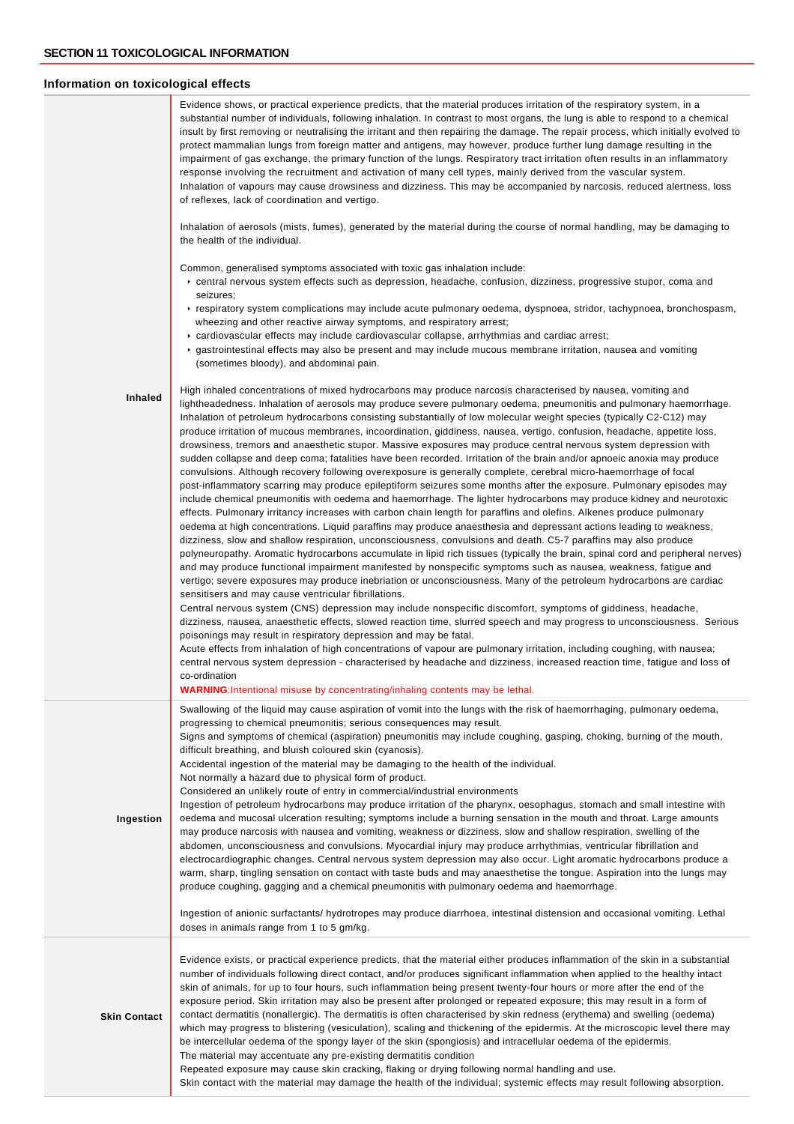## **Information on toxicological effects**

|                     | Evidence shows, or practical experience predicts, that the material produces irritation of the respiratory system, in a<br>substantial number of individuals, following inhalation. In contrast to most organs, the lung is able to respond to a chemical<br>insult by first removing or neutralising the irritant and then repairing the damage. The repair process, which initially evolved to<br>protect mammalian lungs from foreign matter and antigens, may however, produce further lung damage resulting in the<br>impairment of gas exchange, the primary function of the lungs. Respiratory tract irritation often results in an inflammatory<br>response involving the recruitment and activation of many cell types, mainly derived from the vascular system.<br>Inhalation of vapours may cause drowsiness and dizziness. This may be accompanied by narcosis, reduced alertness, loss<br>of reflexes, lack of coordination and vertigo.<br>Inhalation of aerosols (mists, fumes), generated by the material during the course of normal handling, may be damaging to<br>the health of the individual.<br>Common, generalised symptoms associated with toxic gas inhalation include:<br>► central nervous system effects such as depression, headache, confusion, dizziness, progressive stupor, coma and<br>seizures;<br>► respiratory system complications may include acute pulmonary oedema, dyspnoea, stridor, tachypnoea, bronchospasm,<br>wheezing and other reactive airway symptoms, and respiratory arrest;<br>► cardiovascular effects may include cardiovascular collapse, arrhythmias and cardiac arrest;<br>► gastrointestinal effects may also be present and may include mucous membrane irritation, nausea and vomiting                                                                                                                                                                                                                                                                                                                                                                                                                                                                                                                                                                                                                                                                                                                                                                                                                                                                                            |
|---------------------|--------------------------------------------------------------------------------------------------------------------------------------------------------------------------------------------------------------------------------------------------------------------------------------------------------------------------------------------------------------------------------------------------------------------------------------------------------------------------------------------------------------------------------------------------------------------------------------------------------------------------------------------------------------------------------------------------------------------------------------------------------------------------------------------------------------------------------------------------------------------------------------------------------------------------------------------------------------------------------------------------------------------------------------------------------------------------------------------------------------------------------------------------------------------------------------------------------------------------------------------------------------------------------------------------------------------------------------------------------------------------------------------------------------------------------------------------------------------------------------------------------------------------------------------------------------------------------------------------------------------------------------------------------------------------------------------------------------------------------------------------------------------------------------------------------------------------------------------------------------------------------------------------------------------------------------------------------------------------------------------------------------------------------------------------------------------------------------------------------------------------------------------------------------------------------------------------------------------------------------------------------------------------------------------------------------------------------------------------------------------------------------------------------------------------------------------------------------------------------------------------------------------------------------------------------------------------------------------------------------------------------------------------|
| Inhaled             | (sometimes bloody), and abdominal pain.<br>High inhaled concentrations of mixed hydrocarbons may produce narcosis characterised by nausea, vomiting and<br>lightheadedness. Inhalation of aerosols may produce severe pulmonary oedema, pneumonitis and pulmonary haemorrhage.<br>Inhalation of petroleum hydrocarbons consisting substantially of low molecular weight species (typically C2-C12) may<br>produce irritation of mucous membranes, incoordination, giddiness, nausea, vertigo, confusion, headache, appetite loss,<br>drowsiness, tremors and anaesthetic stupor. Massive exposures may produce central nervous system depression with<br>sudden collapse and deep coma; fatalities have been recorded. Irritation of the brain and/or apnoeic anoxia may produce<br>convulsions. Although recovery following overexposure is generally complete, cerebral micro-haemorrhage of focal<br>post-inflammatory scarring may produce epileptiform seizures some months after the exposure. Pulmonary episodes may<br>include chemical pneumonitis with oedema and haemorrhage. The lighter hydrocarbons may produce kidney and neurotoxic<br>effects. Pulmonary irritancy increases with carbon chain length for paraffins and olefins. Alkenes produce pulmonary<br>oedema at high concentrations. Liquid paraffins may produce anaesthesia and depressant actions leading to weakness,<br>dizziness, slow and shallow respiration, unconsciousness, convulsions and death. C5-7 paraffins may also produce<br>polyneuropathy. Aromatic hydrocarbons accumulate in lipid rich tissues (typically the brain, spinal cord and peripheral nerves)<br>and may produce functional impairment manifested by nonspecific symptoms such as nausea, weakness, fatigue and<br>vertigo; severe exposures may produce inebriation or unconsciousness. Many of the petroleum hydrocarbons are cardiac<br>sensitisers and may cause ventricular fibrillations.<br>Central nervous system (CNS) depression may include nonspecific discomfort, symptoms of giddiness, headache,<br>dizziness, nausea, anaesthetic effects, slowed reaction time, slurred speech and may progress to unconsciousness. Serious<br>poisonings may result in respiratory depression and may be fatal.<br>Acute effects from inhalation of high concentrations of vapour are pulmonary irritation, including coughing, with nausea;<br>central nervous system depression - characterised by headache and dizziness, increased reaction time, fatigue and loss of<br>co-ordination<br><b>WARNING:</b> Intentional misuse by concentrating/inhaling contents may be lethal. |
| Ingestion           | Swallowing of the liquid may cause aspiration of vomit into the lungs with the risk of haemorrhaging, pulmonary oedema,<br>progressing to chemical pneumonitis; serious consequences may result.<br>Signs and symptoms of chemical (aspiration) pneumonitis may include coughing, gasping, choking, burning of the mouth,<br>difficult breathing, and bluish coloured skin (cyanosis).<br>Accidental ingestion of the material may be damaging to the health of the individual.<br>Not normally a hazard due to physical form of product.<br>Considered an unlikely route of entry in commercial/industrial environments<br>Ingestion of petroleum hydrocarbons may produce irritation of the pharynx, oesophagus, stomach and small intestine with<br>oedema and mucosal ulceration resulting; symptoms include a burning sensation in the mouth and throat. Large amounts<br>may produce narcosis with nausea and vomiting, weakness or dizziness, slow and shallow respiration, swelling of the<br>abdomen, unconsciousness and convulsions. Myocardial injury may produce arrhythmias, ventricular fibrillation and<br>electrocardiographic changes. Central nervous system depression may also occur. Light aromatic hydrocarbons produce a<br>warm, sharp, tingling sensation on contact with taste buds and may anaesthetise the tongue. Aspiration into the lungs may<br>produce coughing, gagging and a chemical pneumonitis with pulmonary oedema and haemorrhage.<br>Ingestion of anionic surfactants/ hydrotropes may produce diarrhoea, intestinal distension and occasional vomiting. Lethal<br>doses in animals range from 1 to 5 gm/kg.                                                                                                                                                                                                                                                                                                                                                                                                                                                                                                                                                                                                                                                                                                                                                                                                                                                                                                                                                                                          |
| <b>Skin Contact</b> | Evidence exists, or practical experience predicts, that the material either produces inflammation of the skin in a substantial<br>number of individuals following direct contact, and/or produces significant inflammation when applied to the healthy intact<br>skin of animals, for up to four hours, such inflammation being present twenty-four hours or more after the end of the<br>exposure period. Skin irritation may also be present after prolonged or repeated exposure; this may result in a form of<br>contact dermatitis (nonallergic). The dermatitis is often characterised by skin redness (erythema) and swelling (oedema)<br>which may progress to blistering (vesiculation), scaling and thickening of the epidermis. At the microscopic level there may<br>be intercellular oedema of the spongy layer of the skin (spongiosis) and intracellular oedema of the epidermis.<br>The material may accentuate any pre-existing dermatitis condition<br>Repeated exposure may cause skin cracking, flaking or drying following normal handling and use.<br>Skin contact with the material may damage the health of the individual; systemic effects may result following absorption.                                                                                                                                                                                                                                                                                                                                                                                                                                                                                                                                                                                                                                                                                                                                                                                                                                                                                                                                                                                                                                                                                                                                                                                                                                                                                                                                                                                                                                            |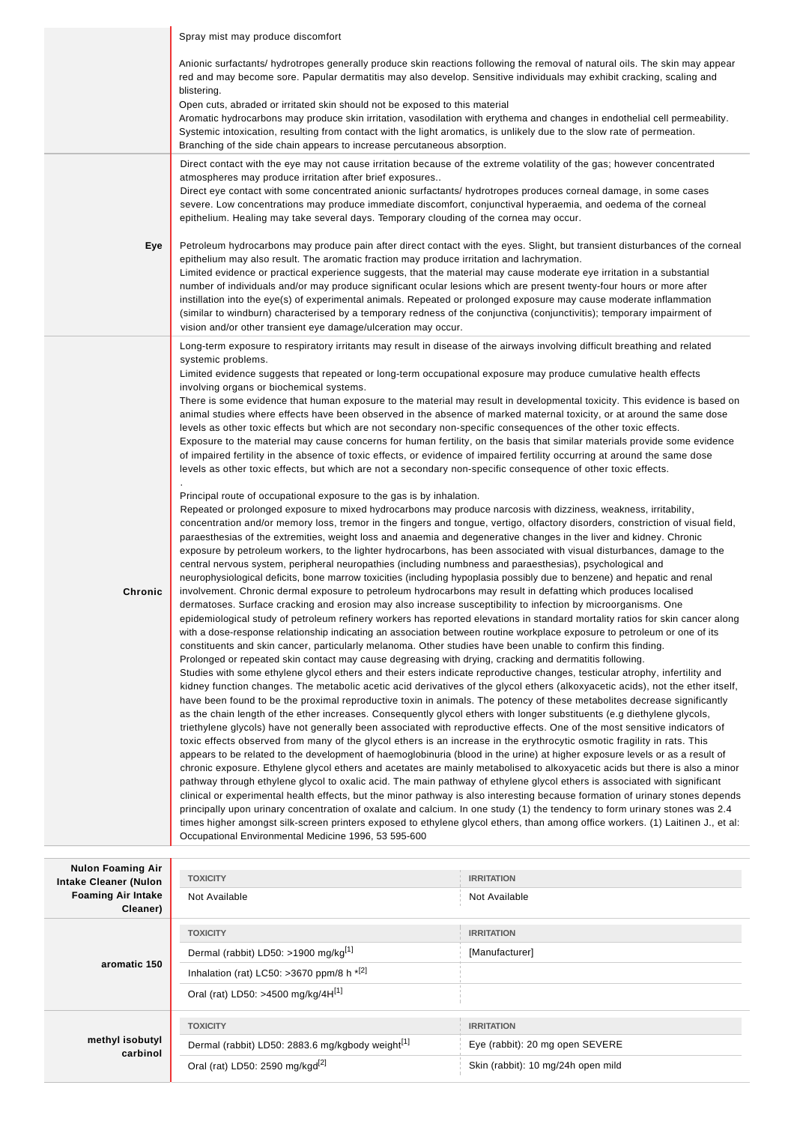|                                                                       | Spray mist may produce discomfort                                                                                                                                                                                                                                                                                                                                                                                                                                                                                                                                                                                                                                                                                                                                                                                                                                                                                                                                                                                                                                                                                                                                                                                                                                                                                                                                                                                                                                                                                                                                                                                                                                                                                                                                                                                                                                                                                                                                                                                                                                                                                                                                                                                                                                                                                                                                                                                                                                                                                                                                                                                        |                                                                                                                                                                                                                                                                                                                                                                                                                                                                                                                                    |  |  |  |
|-----------------------------------------------------------------------|--------------------------------------------------------------------------------------------------------------------------------------------------------------------------------------------------------------------------------------------------------------------------------------------------------------------------------------------------------------------------------------------------------------------------------------------------------------------------------------------------------------------------------------------------------------------------------------------------------------------------------------------------------------------------------------------------------------------------------------------------------------------------------------------------------------------------------------------------------------------------------------------------------------------------------------------------------------------------------------------------------------------------------------------------------------------------------------------------------------------------------------------------------------------------------------------------------------------------------------------------------------------------------------------------------------------------------------------------------------------------------------------------------------------------------------------------------------------------------------------------------------------------------------------------------------------------------------------------------------------------------------------------------------------------------------------------------------------------------------------------------------------------------------------------------------------------------------------------------------------------------------------------------------------------------------------------------------------------------------------------------------------------------------------------------------------------------------------------------------------------------------------------------------------------------------------------------------------------------------------------------------------------------------------------------------------------------------------------------------------------------------------------------------------------------------------------------------------------------------------------------------------------------------------------------------------------------------------------------------------------|------------------------------------------------------------------------------------------------------------------------------------------------------------------------------------------------------------------------------------------------------------------------------------------------------------------------------------------------------------------------------------------------------------------------------------------------------------------------------------------------------------------------------------|--|--|--|
|                                                                       | Anionic surfactants/ hydrotropes generally produce skin reactions following the removal of natural oils. The skin may appear<br>red and may become sore. Papular dermatitis may also develop. Sensitive individuals may exhibit cracking, scaling and<br>blistering.<br>Open cuts, abraded or irritated skin should not be exposed to this material<br>Aromatic hydrocarbons may produce skin irritation, vasodilation with erythema and changes in endothelial cell permeability.<br>Systemic intoxication, resulting from contact with the light aromatics, is unlikely due to the slow rate of permeation.                                                                                                                                                                                                                                                                                                                                                                                                                                                                                                                                                                                                                                                                                                                                                                                                                                                                                                                                                                                                                                                                                                                                                                                                                                                                                                                                                                                                                                                                                                                                                                                                                                                                                                                                                                                                                                                                                                                                                                                                            |                                                                                                                                                                                                                                                                                                                                                                                                                                                                                                                                    |  |  |  |
|                                                                       | Branching of the side chain appears to increase percutaneous absorption.                                                                                                                                                                                                                                                                                                                                                                                                                                                                                                                                                                                                                                                                                                                                                                                                                                                                                                                                                                                                                                                                                                                                                                                                                                                                                                                                                                                                                                                                                                                                                                                                                                                                                                                                                                                                                                                                                                                                                                                                                                                                                                                                                                                                                                                                                                                                                                                                                                                                                                                                                 |                                                                                                                                                                                                                                                                                                                                                                                                                                                                                                                                    |  |  |  |
|                                                                       | Direct contact with the eye may not cause irritation because of the extreme volatility of the gas; however concentrated<br>atmospheres may produce irritation after brief exposures<br>Direct eye contact with some concentrated anionic surfactants/ hydrotropes produces corneal damage, in some cases<br>severe. Low concentrations may produce immediate discomfort, conjunctival hyperaemia, and oedema of the corneal<br>epithelium. Healing may take several days. Temporary clouding of the cornea may occur.                                                                                                                                                                                                                                                                                                                                                                                                                                                                                                                                                                                                                                                                                                                                                                                                                                                                                                                                                                                                                                                                                                                                                                                                                                                                                                                                                                                                                                                                                                                                                                                                                                                                                                                                                                                                                                                                                                                                                                                                                                                                                                    |                                                                                                                                                                                                                                                                                                                                                                                                                                                                                                                                    |  |  |  |
| Eye                                                                   | Petroleum hydrocarbons may produce pain after direct contact with the eyes. Slight, but transient disturbances of the corneal<br>epithelium may also result. The aromatic fraction may produce irritation and lachrymation.<br>Limited evidence or practical experience suggests, that the material may cause moderate eye irritation in a substantial<br>number of individuals and/or may produce significant ocular lesions which are present twenty-four hours or more after<br>instillation into the eye(s) of experimental animals. Repeated or prolonged exposure may cause moderate inflammation<br>(similar to windburn) characterised by a temporary redness of the conjunctiva (conjunctivitis); temporary impairment of<br>vision and/or other transient eye damage/ulceration may occur.                                                                                                                                                                                                                                                                                                                                                                                                                                                                                                                                                                                                                                                                                                                                                                                                                                                                                                                                                                                                                                                                                                                                                                                                                                                                                                                                                                                                                                                                                                                                                                                                                                                                                                                                                                                                                     |                                                                                                                                                                                                                                                                                                                                                                                                                                                                                                                                    |  |  |  |
| Chronic                                                               | Long-term exposure to respiratory irritants may result in disease of the airways involving difficult breathing and related<br>systemic problems.<br>Limited evidence suggests that repeated or long-term occupational exposure may produce cumulative health effects<br>involving organs or biochemical systems.<br>animal studies where effects have been observed in the absence of marked maternal toxicity, or at around the same dose<br>levels as other toxic effects but which are not secondary non-specific consequences of the other toxic effects.<br>Exposure to the material may cause concerns for human fertility, on the basis that similar materials provide some evidence<br>of impaired fertility in the absence of toxic effects, or evidence of impaired fertility occurring at around the same dose<br>levels as other toxic effects, but which are not a secondary non-specific consequence of other toxic effects.<br>Principal route of occupational exposure to the gas is by inhalation.<br>Repeated or prolonged exposure to mixed hydrocarbons may produce narcosis with dizziness, weakness, irritability,<br>paraesthesias of the extremities, weight loss and anaemia and degenerative changes in the liver and kidney. Chronic<br>exposure by petroleum workers, to the lighter hydrocarbons, has been associated with visual disturbances, damage to the<br>central nervous system, peripheral neuropathies (including numbness and paraesthesias), psychological and<br>neurophysiological deficits, bone marrow toxicities (including hypoplasia possibly due to benzene) and hepatic and renal<br>involvement. Chronic dermal exposure to petroleum hydrocarbons may result in defatting which produces localised<br>dermatoses. Surface cracking and erosion may also increase susceptibility to infection by microorganisms. One<br>with a dose-response relationship indicating an association between routine workplace exposure to petroleum or one of its<br>constituents and skin cancer, particularly melanoma. Other studies have been unable to confirm this finding.<br>Prolonged or repeated skin contact may cause degreasing with drying, cracking and dermatitis following.<br>Studies with some ethylene glycol ethers and their esters indicate reproductive changes, testicular atrophy, infertility and<br>have been found to be the proximal reproductive toxin in animals. The potency of these metabolites decrease significantly<br>as the chain length of the ether increases. Consequently glycol ethers with longer substituents (e.g diethylene glycols, | There is some evidence that human exposure to the material may result in developmental toxicity. This evidence is based on<br>concentration and/or memory loss, tremor in the fingers and tongue, vertigo, olfactory disorders, constriction of visual field,<br>epidemiological study of petroleum refinery workers has reported elevations in standard mortality ratios for skin cancer along<br>kidney function changes. The metabolic acetic acid derivatives of the glycol ethers (alkoxyacetic acids), not the ether itself, |  |  |  |
|                                                                       | triethylene glycols) have not generally been associated with reproductive effects. One of the most sensitive indicators of<br>toxic effects observed from many of the glycol ethers is an increase in the erythrocytic osmotic fragility in rats. This<br>appears to be related to the development of haemoglobinuria (blood in the urine) at higher exposure levels or as a result of<br>chronic exposure. Ethylene glycol ethers and acetates are mainly metabolised to alkoxyacetic acids but there is also a minor<br>pathway through ethylene glycol to oxalic acid. The main pathway of ethylene glycol ethers is associated with significant<br>clinical or experimental health effects, but the minor pathway is also interesting because formation of urinary stones depends<br>principally upon urinary concentration of oxalate and calcium. In one study (1) the tendency to form urinary stones was 2.4<br>times higher amongst silk-screen printers exposed to ethylene glycol ethers, than among office workers. (1) Laitinen J., et al:<br>Occupational Environmental Medicine 1996, 53 595-600                                                                                                                                                                                                                                                                                                                                                                                                                                                                                                                                                                                                                                                                                                                                                                                                                                                                                                                                                                                                                                                                                                                                                                                                                                                                                                                                                                                                                                                                                                          |                                                                                                                                                                                                                                                                                                                                                                                                                                                                                                                                    |  |  |  |
| <b>Nulon Foaming Air</b>                                              |                                                                                                                                                                                                                                                                                                                                                                                                                                                                                                                                                                                                                                                                                                                                                                                                                                                                                                                                                                                                                                                                                                                                                                                                                                                                                                                                                                                                                                                                                                                                                                                                                                                                                                                                                                                                                                                                                                                                                                                                                                                                                                                                                                                                                                                                                                                                                                                                                                                                                                                                                                                                                          |                                                                                                                                                                                                                                                                                                                                                                                                                                                                                                                                    |  |  |  |
| <b>Intake Cleaner (Nulon</b><br><b>Foaming Air Intake</b><br>Cleaner) | <b>TOXICITY</b><br>Not Available                                                                                                                                                                                                                                                                                                                                                                                                                                                                                                                                                                                                                                                                                                                                                                                                                                                                                                                                                                                                                                                                                                                                                                                                                                                                                                                                                                                                                                                                                                                                                                                                                                                                                                                                                                                                                                                                                                                                                                                                                                                                                                                                                                                                                                                                                                                                                                                                                                                                                                                                                                                         | <b>IRRITATION</b><br>Not Available                                                                                                                                                                                                                                                                                                                                                                                                                                                                                                 |  |  |  |
|                                                                       | <b>TOXICITY</b>                                                                                                                                                                                                                                                                                                                                                                                                                                                                                                                                                                                                                                                                                                                                                                                                                                                                                                                                                                                                                                                                                                                                                                                                                                                                                                                                                                                                                                                                                                                                                                                                                                                                                                                                                                                                                                                                                                                                                                                                                                                                                                                                                                                                                                                                                                                                                                                                                                                                                                                                                                                                          | <b>IRRITATION</b>                                                                                                                                                                                                                                                                                                                                                                                                                                                                                                                  |  |  |  |
|                                                                       | Dermal (rabbit) LD50: >1900 mg/kg[1]                                                                                                                                                                                                                                                                                                                                                                                                                                                                                                                                                                                                                                                                                                                                                                                                                                                                                                                                                                                                                                                                                                                                                                                                                                                                                                                                                                                                                                                                                                                                                                                                                                                                                                                                                                                                                                                                                                                                                                                                                                                                                                                                                                                                                                                                                                                                                                                                                                                                                                                                                                                     | [Manufacturer]                                                                                                                                                                                                                                                                                                                                                                                                                                                                                                                     |  |  |  |
| aromatic 150                                                          | Inhalation (rat) LC50: >3670 ppm/8 h *[2]                                                                                                                                                                                                                                                                                                                                                                                                                                                                                                                                                                                                                                                                                                                                                                                                                                                                                                                                                                                                                                                                                                                                                                                                                                                                                                                                                                                                                                                                                                                                                                                                                                                                                                                                                                                                                                                                                                                                                                                                                                                                                                                                                                                                                                                                                                                                                                                                                                                                                                                                                                                |                                                                                                                                                                                                                                                                                                                                                                                                                                                                                                                                    |  |  |  |
|                                                                       | Oral (rat) LD50: >4500 mg/kg/4H[1]                                                                                                                                                                                                                                                                                                                                                                                                                                                                                                                                                                                                                                                                                                                                                                                                                                                                                                                                                                                                                                                                                                                                                                                                                                                                                                                                                                                                                                                                                                                                                                                                                                                                                                                                                                                                                                                                                                                                                                                                                                                                                                                                                                                                                                                                                                                                                                                                                                                                                                                                                                                       |                                                                                                                                                                                                                                                                                                                                                                                                                                                                                                                                    |  |  |  |
|                                                                       | <b>TOXICITY</b>                                                                                                                                                                                                                                                                                                                                                                                                                                                                                                                                                                                                                                                                                                                                                                                                                                                                                                                                                                                                                                                                                                                                                                                                                                                                                                                                                                                                                                                                                                                                                                                                                                                                                                                                                                                                                                                                                                                                                                                                                                                                                                                                                                                                                                                                                                                                                                                                                                                                                                                                                                                                          | <b>IRRITATION</b>                                                                                                                                                                                                                                                                                                                                                                                                                                                                                                                  |  |  |  |
| methyl isobutyl                                                       | Dermal (rabbit) LD50: 2883.6 mg/kgbody weight <sup>[1]</sup>                                                                                                                                                                                                                                                                                                                                                                                                                                                                                                                                                                                                                                                                                                                                                                                                                                                                                                                                                                                                                                                                                                                                                                                                                                                                                                                                                                                                                                                                                                                                                                                                                                                                                                                                                                                                                                                                                                                                                                                                                                                                                                                                                                                                                                                                                                                                                                                                                                                                                                                                                             | Eye (rabbit): 20 mg open SEVERE                                                                                                                                                                                                                                                                                                                                                                                                                                                                                                    |  |  |  |
| carbinol                                                              | Oral (rat) LD50: 2590 mg/kgd <sup>[2]</sup>                                                                                                                                                                                                                                                                                                                                                                                                                                                                                                                                                                                                                                                                                                                                                                                                                                                                                                                                                                                                                                                                                                                                                                                                                                                                                                                                                                                                                                                                                                                                                                                                                                                                                                                                                                                                                                                                                                                                                                                                                                                                                                                                                                                                                                                                                                                                                                                                                                                                                                                                                                              | Skin (rabbit): 10 mg/24h open mild                                                                                                                                                                                                                                                                                                                                                                                                                                                                                                 |  |  |  |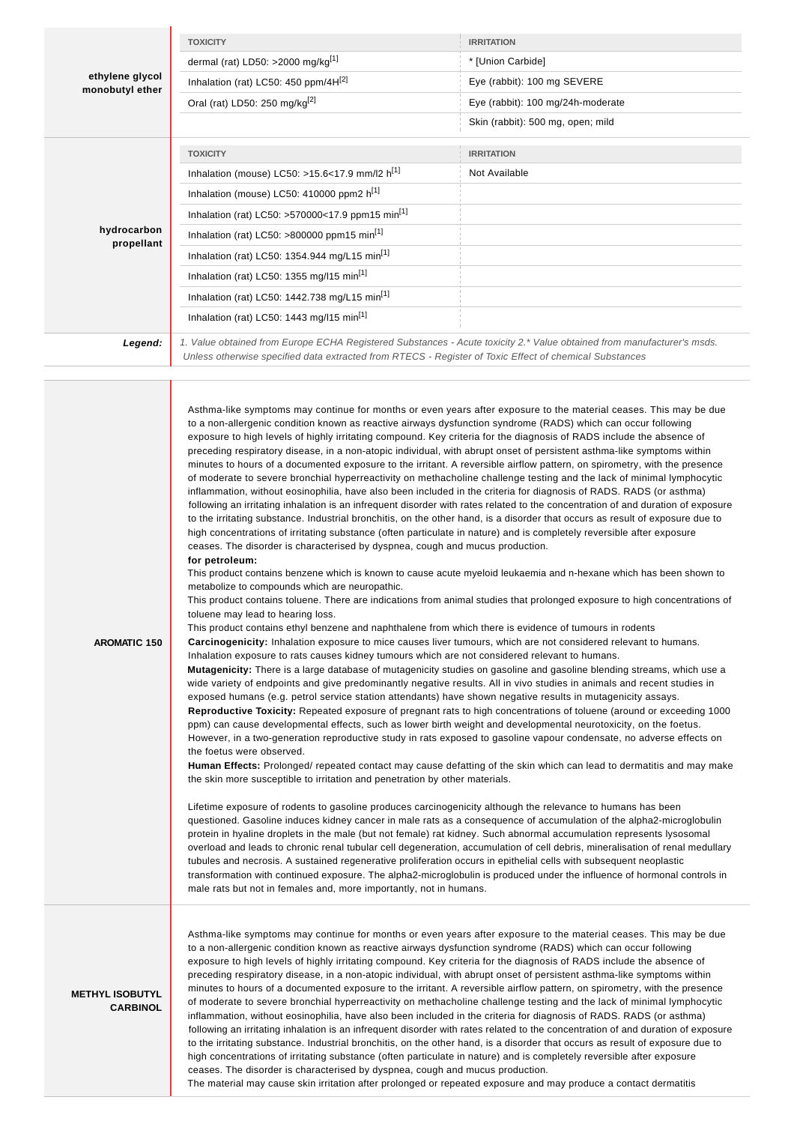| <b>TOXICITY</b>                                                                                        | <b>IRRITATION</b>                                                                                                      |
|--------------------------------------------------------------------------------------------------------|------------------------------------------------------------------------------------------------------------------------|
| dermal (rat) LD50: >2000 mg/kg $[1]$                                                                   | * [Union Carbide]                                                                                                      |
| Inhalation (rat) LC50: 450 ppm/4H <sup>[2]</sup>                                                       | Eye (rabbit): 100 mg SEVERE                                                                                            |
| Oral (rat) LD50: 250 mg/kg <sup>[2]</sup>                                                              | Eye (rabbit): 100 mg/24h-moderate                                                                                      |
|                                                                                                        | Skin (rabbit): 500 mg, open; mild                                                                                      |
| <b>TOXICITY</b>                                                                                        | <b>IRRITATION</b>                                                                                                      |
| Inhalation (mouse) LC50: >15.6<17.9 mm/l2 $h^{[1]}$                                                    | Not Available                                                                                                          |
| Inhalation (mouse) LC50: 410000 ppm2 h <sup>[1]</sup>                                                  |                                                                                                                        |
| Inhalation (rat) LC50: >570000<17.9 ppm15 min <sup>[1]</sup>                                           |                                                                                                                        |
| Inhalation (rat) LC50: >800000 ppm15 min <sup>[1]</sup>                                                |                                                                                                                        |
| Inhalation (rat) LC50: 1354.944 mg/L15 min <sup>[1]</sup>                                              |                                                                                                                        |
| Inhalation (rat) LC50: 1355 mg/l15 min <sup>[1]</sup>                                                  |                                                                                                                        |
| Inhalation (rat) LC50: 1442.738 mg/L15 min <sup>[1]</sup>                                              |                                                                                                                        |
| Inhalation (rat) LC50: 1443 mg/l15 min <sup>[1]</sup>                                                  |                                                                                                                        |
| Unless otherwise specified data extracted from RTECS - Register of Toxic Effect of chemical Substances | 1. Value obtained from Europe ECHA Registered Substances - Acute toxicity 2.* Value obtained from manufacturer's msds. |
|                                                                                                        |                                                                                                                        |

**AROMATIC 150** Asthma-like symptoms may continue for months or even years after exposure to the material ceases. This may be due to a non-allergenic condition known as reactive airways dysfunction syndrome (RADS) which can occur following exposure to high levels of highly irritating compound. Key criteria for the diagnosis of RADS include the absence of preceding respiratory disease, in a non-atopic individual, with abrupt onset of persistent asthma-like symptoms within minutes to hours of a documented exposure to the irritant. A reversible airflow pattern, on spirometry, with the presence of moderate to severe bronchial hyperreactivity on methacholine challenge testing and the lack of minimal lymphocytic inflammation, without eosinophilia, have also been included in the criteria for diagnosis of RADS. RADS (or asthma) following an irritating inhalation is an infrequent disorder with rates related to the concentration of and duration of exposure to the irritating substance. Industrial bronchitis, on the other hand, is a disorder that occurs as result of exposure due to high concentrations of irritating substance (often particulate in nature) and is completely reversible after exposure ceases. The disorder is characterised by dyspnea, cough and mucus production. **for petroleum:** This product contains benzene which is known to cause acute myeloid leukaemia and n-hexane which has been shown to metabolize to compounds which are neuropathic. This product contains toluene. There are indications from animal studies that prolonged exposure to high concentrations of toluene may lead to hearing loss. This product contains ethyl benzene and naphthalene from which there is evidence of tumours in rodents **Carcinogenicity:** Inhalation exposure to mice causes liver tumours, which are not considered relevant to humans. Inhalation exposure to rats causes kidney tumours which are not considered relevant to humans. **Mutagenicity:** There is a large database of mutagenicity studies on gasoline and gasoline blending streams, which use a wide variety of endpoints and give predominantly negative results. All in vivo studies in animals and recent studies in exposed humans (e.g. petrol service station attendants) have shown negative results in mutagenicity assays. **Reproductive Toxicity:** Repeated exposure of pregnant rats to high concentrations of toluene (around or exceeding 1000 ppm) can cause developmental effects, such as lower birth weight and developmental neurotoxicity, on the foetus. However, in a two-generation reproductive study in rats exposed to gasoline vapour condensate, no adverse effects on the foetus were observed. **Human Effects:** Prolonged/ repeated contact may cause defatting of the skin which can lead to dermatitis and may make the skin more susceptible to irritation and penetration by other materials. Lifetime exposure of rodents to gasoline produces carcinogenicity although the relevance to humans has been questioned. Gasoline induces kidney cancer in male rats as a consequence of accumulation of the alpha2-microglobulin protein in hyaline droplets in the male (but not female) rat kidney. Such abnormal accumulation represents lysosomal overload and leads to chronic renal tubular cell degeneration, accumulation of cell debris, mineralisation of renal medullary tubules and necrosis. A sustained regenerative proliferation occurs in epithelial cells with subsequent neoplastic transformation with continued exposure. The alpha2-microglobulin is produced under the influence of hormonal controls in male rats but not in females and, more importantly, not in humans. **METHYL ISOBUTYL CARBINOL** Asthma-like symptoms may continue for months or even years after exposure to the material ceases. This may be due to a non-allergenic condition known as reactive airways dysfunction syndrome (RADS) which can occur following exposure to high levels of highly irritating compound. Key criteria for the diagnosis of RADS include the absence of preceding respiratory disease, in a non-atopic individual, with abrupt onset of persistent asthma-like symptoms within minutes to hours of a documented exposure to the irritant. A reversible airflow pattern, on spirometry, with the presence of moderate to severe bronchial hyperreactivity on methacholine challenge testing and the lack of minimal lymphocytic inflammation, without eosinophilia, have also been included in the criteria for diagnosis of RADS. RADS (or asthma) following an irritating inhalation is an infrequent disorder with rates related to the concentration of and duration of exposure to the irritating substance. Industrial bronchitis, on the other hand, is a disorder that occurs as result of exposure due to high concentrations of irritating substance (often particulate in nature) and is completely reversible after exposure ceases. The disorder is characterised by dyspnea, cough and mucus production.

The material may cause skin irritation after prolonged or repeated exposure and may produce a contact dermatitis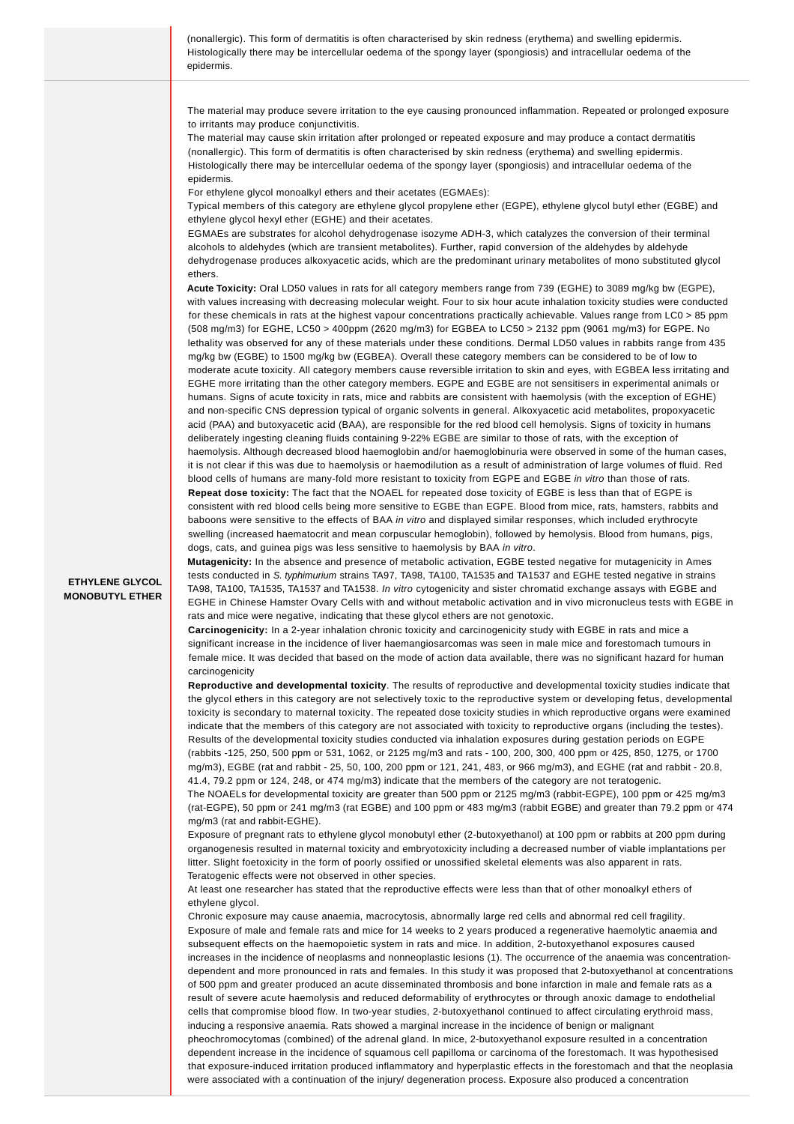(nonallergic). This form of dermatitis is often characterised by skin redness (erythema) and swelling epidermis. Histologically there may be intercellular oedema of the spongy layer (spongiosis) and intracellular oedema of the epidermis.

The material may produce severe irritation to the eye causing pronounced inflammation. Repeated or prolonged exposure to irritants may produce conjunctivitis.

The material may cause skin irritation after prolonged or repeated exposure and may produce a contact dermatitis (nonallergic). This form of dermatitis is often characterised by skin redness (erythema) and swelling epidermis. Histologically there may be intercellular oedema of the spongy layer (spongiosis) and intracellular oedema of the epidermis.

For ethylene glycol monoalkyl ethers and their acetates (EGMAEs):

Typical members of this category are ethylene glycol propylene ether (EGPE), ethylene glycol butyl ether (EGBE) and ethylene glycol hexyl ether (EGHE) and their acetates.

EGMAEs are substrates for alcohol dehydrogenase isozyme ADH-3, which catalyzes the conversion of their terminal alcohols to aldehydes (which are transient metabolites). Further, rapid conversion of the aldehydes by aldehyde dehydrogenase produces alkoxyacetic acids, which are the predominant urinary metabolites of mono substituted glycol ethers.

**Acute Toxicity:** Oral LD50 values in rats for all category members range from 739 (EGHE) to 3089 mg/kg bw (EGPE), with values increasing with decreasing molecular weight. Four to six hour acute inhalation toxicity studies were conducted for these chemicals in rats at the highest vapour concentrations practically achievable. Values range from LC0 > 85 ppm (508 mg/m3) for EGHE, LC50 > 400ppm (2620 mg/m3) for EGBEA to LC50 > 2132 ppm (9061 mg/m3) for EGPE. No lethality was observed for any of these materials under these conditions. Dermal LD50 values in rabbits range from 435 mg/kg bw (EGBE) to 1500 mg/kg bw (EGBEA). Overall these category members can be considered to be of low to moderate acute toxicity. All category members cause reversible irritation to skin and eyes, with EGBEA less irritating and EGHE more irritating than the other category members. EGPE and EGBE are not sensitisers in experimental animals or humans. Signs of acute toxicity in rats, mice and rabbits are consistent with haemolysis (with the exception of EGHE) and non-specific CNS depression typical of organic solvents in general. Alkoxyacetic acid metabolites, propoxyacetic acid (PAA) and butoxyacetic acid (BAA), are responsible for the red blood cell hemolysis. Signs of toxicity in humans deliberately ingesting cleaning fluids containing 9-22% EGBE are similar to those of rats, with the exception of haemolysis. Although decreased blood haemoglobin and/or haemoglobinuria were observed in some of the human cases, it is not clear if this was due to haemolysis or haemodilution as a result of administration of large volumes of fluid. Red blood cells of humans are many-fold more resistant to toxicity from EGPE and EGBE in vitro than those of rats. **Repeat dose toxicity:** The fact that the NOAEL for repeated dose toxicity of EGBE is less than that of EGPE is consistent with red blood cells being more sensitive to EGBE than EGPE. Blood from mice, rats, hamsters, rabbits and baboons were sensitive to the effects of BAA in vitro and displayed similar responses, which included erythrocyte swelling (increased haematocrit and mean corpuscular hemoglobin), followed by hemolysis. Blood from humans, pigs, dogs, cats, and guinea pigs was less sensitive to haemolysis by BAA in vitro.

### **ETHYLENE GLYCOL MONOBUTYL ETHER**

**Mutagenicity:** In the absence and presence of metabolic activation, EGBE tested negative for mutagenicity in Ames tests conducted in S. typhimurium strains TA97, TA98, TA100, TA1535 and TA1537 and EGHE tested negative in strains TA98, TA100, TA1535, TA1537 and TA1538. In vitro cytogenicity and sister chromatid exchange assays with EGBE and EGHE in Chinese Hamster Ovary Cells with and without metabolic activation and in vivo micronucleus tests with EGBE in rats and mice were negative, indicating that these glycol ethers are not genotoxic.

**Carcinogenicity:** In a 2-year inhalation chronic toxicity and carcinogenicity study with EGBE in rats and mice a significant increase in the incidence of liver haemangiosarcomas was seen in male mice and forestomach tumours in female mice. It was decided that based on the mode of action data available, there was no significant hazard for human carcinogenicity

**Reproductive and developmental toxicity**. The results of reproductive and developmental toxicity studies indicate that the glycol ethers in this category are not selectively toxic to the reproductive system or developing fetus, developmental toxicity is secondary to maternal toxicity. The repeated dose toxicity studies in which reproductive organs were examined indicate that the members of this category are not associated with toxicity to reproductive organs (including the testes). Results of the developmental toxicity studies conducted via inhalation exposures during gestation periods on EGPE (rabbits -125, 250, 500 ppm or 531, 1062, or 2125 mg/m3 and rats - 100, 200, 300, 400 ppm or 425, 850, 1275, or 1700 mg/m3), EGBE (rat and rabbit - 25, 50, 100, 200 ppm or 121, 241, 483, or 966 mg/m3), and EGHE (rat and rabbit - 20.8, 41.4, 79.2 ppm or 124, 248, or 474 mg/m3) indicate that the members of the category are not teratogenic. The NOAELs for developmental toxicity are greater than 500 ppm or 2125 mg/m3 (rabbit-EGPE), 100 ppm or 425 mg/m3 (rat-EGPE), 50 ppm or 241 mg/m3 (rat EGBE) and 100 ppm or 483 mg/m3 (rabbit EGBE) and greater than 79.2 ppm or 474 mg/m3 (rat and rabbit-EGHE).

Exposure of pregnant rats to ethylene glycol monobutyl ether (2-butoxyethanol) at 100 ppm or rabbits at 200 ppm during organogenesis resulted in maternal toxicity and embryotoxicity including a decreased number of viable implantations per litter. Slight foetoxicity in the form of poorly ossified or unossified skeletal elements was also apparent in rats. Teratogenic effects were not observed in other species.

At least one researcher has stated that the reproductive effects were less than that of other monoalkyl ethers of ethylene glycol.

Chronic exposure may cause anaemia, macrocytosis, abnormally large red cells and abnormal red cell fragility. Exposure of male and female rats and mice for 14 weeks to 2 years produced a regenerative haemolytic anaemia and subsequent effects on the haemopoietic system in rats and mice. In addition, 2-butoxyethanol exposures caused increases in the incidence of neoplasms and nonneoplastic lesions (1). The occurrence of the anaemia was concentrationdependent and more pronounced in rats and females. In this study it was proposed that 2-butoxyethanol at concentrations of 500 ppm and greater produced an acute disseminated thrombosis and bone infarction in male and female rats as a result of severe acute haemolysis and reduced deformability of erythrocytes or through anoxic damage to endothelial cells that compromise blood flow. In two-year studies, 2-butoxyethanol continued to affect circulating erythroid mass, inducing a responsive anaemia. Rats showed a marginal increase in the incidence of benign or malignant pheochromocytomas (combined) of the adrenal gland. In mice, 2-butoxyethanol exposure resulted in a concentration dependent increase in the incidence of squamous cell papilloma or carcinoma of the forestomach. It was hypothesised that exposure-induced irritation produced inflammatory and hyperplastic effects in the forestomach and that the neoplasia were associated with a continuation of the injury/ degeneration process. Exposure also produced a concentration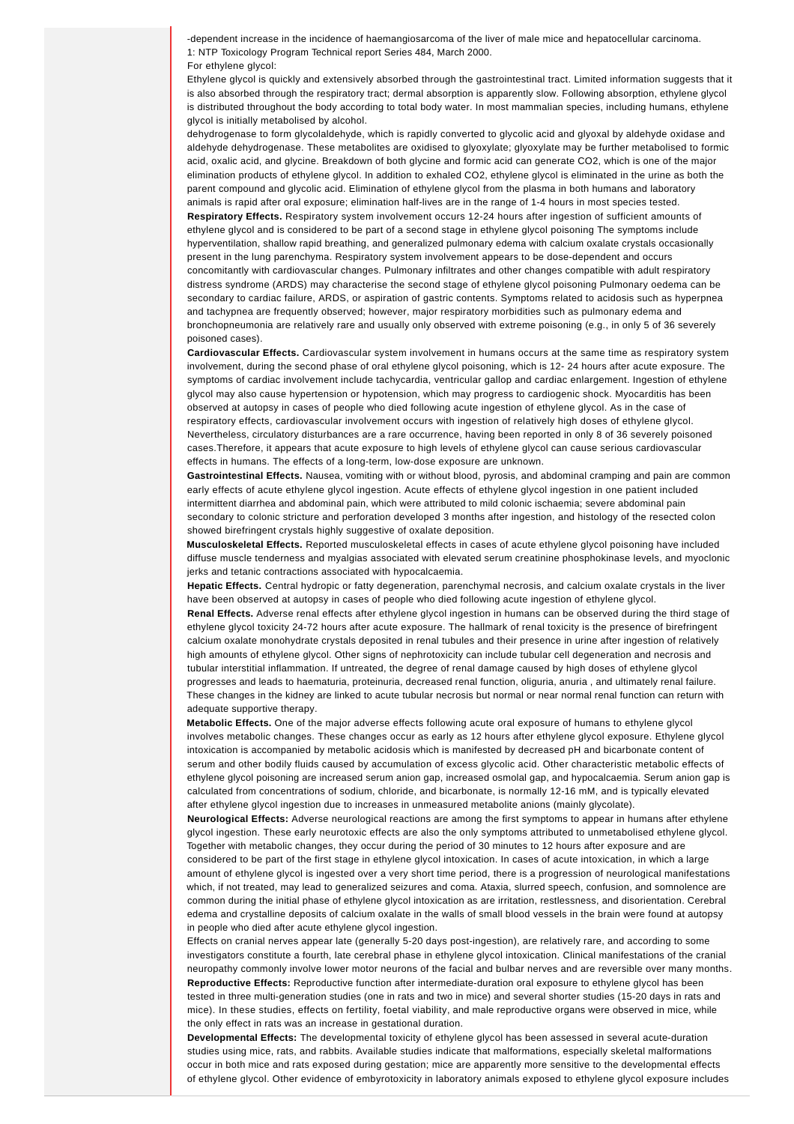-dependent increase in the incidence of haemangiosarcoma of the liver of male mice and hepatocellular carcinoma. 1: NTP Toxicology Program Technical report Series 484, March 2000.

#### For ethylene glycol:

Ethylene glycol is quickly and extensively absorbed through the gastrointestinal tract. Limited information suggests that it is also absorbed through the respiratory tract; dermal absorption is apparently slow. Following absorption, ethylene glycol is distributed throughout the body according to total body water. In most mammalian species, including humans, ethylene glycol is initially metabolised by alcohol.

dehydrogenase to form glycolaldehyde, which is rapidly converted to glycolic acid and glyoxal by aldehyde oxidase and aldehyde dehydrogenase. These metabolites are oxidised to glyoxylate; glyoxylate may be further metabolised to formic acid, oxalic acid, and glycine. Breakdown of both glycine and formic acid can generate CO2, which is one of the major elimination products of ethylene glycol. In addition to exhaled CO2, ethylene glycol is eliminated in the urine as both the parent compound and glycolic acid. Elimination of ethylene glycol from the plasma in both humans and laboratory animals is rapid after oral exposure; elimination half-lives are in the range of 1-4 hours in most species tested.

**Respiratory Effects.** Respiratory system involvement occurs 12-24 hours after ingestion of sufficient amounts of ethylene glycol and is considered to be part of a second stage in ethylene glycol poisoning The symptoms include hyperventilation, shallow rapid breathing, and generalized pulmonary edema with calcium oxalate crystals occasionally present in the lung parenchyma. Respiratory system involvement appears to be dose-dependent and occurs concomitantly with cardiovascular changes. Pulmonary infiltrates and other changes compatible with adult respiratory distress syndrome (ARDS) may characterise the second stage of ethylene glycol poisoning Pulmonary oedema can be secondary to cardiac failure, ARDS, or aspiration of gastric contents. Symptoms related to acidosis such as hyperpnea and tachypnea are frequently observed; however, major respiratory morbidities such as pulmonary edema and bronchopneumonia are relatively rare and usually only observed with extreme poisoning (e.g., in only 5 of 36 severely poisoned cases).

**Cardiovascular Effects.** Cardiovascular system involvement in humans occurs at the same time as respiratory system involvement, during the second phase of oral ethylene glycol poisoning, which is 12- 24 hours after acute exposure. The symptoms of cardiac involvement include tachycardia, ventricular gallop and cardiac enlargement. Ingestion of ethylene glycol may also cause hypertension or hypotension, which may progress to cardiogenic shock. Myocarditis has been observed at autopsy in cases of people who died following acute ingestion of ethylene glycol. As in the case of respiratory effects, cardiovascular involvement occurs with ingestion of relatively high doses of ethylene glycol. Nevertheless, circulatory disturbances are a rare occurrence, having been reported in only 8 of 36 severely poisoned cases.Therefore, it appears that acute exposure to high levels of ethylene glycol can cause serious cardiovascular effects in humans. The effects of a long-term, low-dose exposure are unknown.

**Gastrointestinal Effects.** Nausea, vomiting with or without blood, pyrosis, and abdominal cramping and pain are common early effects of acute ethylene glycol ingestion. Acute effects of ethylene glycol ingestion in one patient included intermittent diarrhea and abdominal pain, which were attributed to mild colonic ischaemia; severe abdominal pain secondary to colonic stricture and perforation developed 3 months after ingestion, and histology of the resected colon showed birefringent crystals highly suggestive of oxalate deposition.

**Musculoskeletal Effects.** Reported musculoskeletal effects in cases of acute ethylene glycol poisoning have included diffuse muscle tenderness and myalgias associated with elevated serum creatinine phosphokinase levels, and myoclonic jerks and tetanic contractions associated with hypocalcaemia.

**Hepatic Effects.** Central hydropic or fatty degeneration, parenchymal necrosis, and calcium oxalate crystals in the liver have been observed at autopsy in cases of people who died following acute ingestion of ethylene glycol.

**Renal Effects.** Adverse renal effects after ethylene glycol ingestion in humans can be observed during the third stage of ethylene glycol toxicity 24-72 hours after acute exposure. The hallmark of renal toxicity is the presence of birefringent calcium oxalate monohydrate crystals deposited in renal tubules and their presence in urine after ingestion of relatively high amounts of ethylene glycol. Other signs of nephrotoxicity can include tubular cell degeneration and necrosis and tubular interstitial inflammation. If untreated, the degree of renal damage caused by high doses of ethylene glycol progresses and leads to haematuria, proteinuria, decreased renal function, oliguria, anuria , and ultimately renal failure. These changes in the kidney are linked to acute tubular necrosis but normal or near normal renal function can return with adequate supportive therapy.

**Metabolic Effects.** One of the major adverse effects following acute oral exposure of humans to ethylene glycol involves metabolic changes. These changes occur as early as 12 hours after ethylene glycol exposure. Ethylene glycol intoxication is accompanied by metabolic acidosis which is manifested by decreased pH and bicarbonate content of serum and other bodily fluids caused by accumulation of excess glycolic acid. Other characteristic metabolic effects of ethylene glycol poisoning are increased serum anion gap, increased osmolal gap, and hypocalcaemia. Serum anion gap is calculated from concentrations of sodium, chloride, and bicarbonate, is normally 12-16 mM, and is typically elevated after ethylene glycol ingestion due to increases in unmeasured metabolite anions (mainly glycolate).

**Neurological Effects:** Adverse neurological reactions are among the first symptoms to appear in humans after ethylene glycol ingestion. These early neurotoxic effects are also the only symptoms attributed to unmetabolised ethylene glycol. Together with metabolic changes, they occur during the period of 30 minutes to 12 hours after exposure and are considered to be part of the first stage in ethylene glycol intoxication. In cases of acute intoxication, in which a large amount of ethylene glycol is ingested over a very short time period, there is a progression of neurological manifestations which, if not treated, may lead to generalized seizures and coma. Ataxia, slurred speech, confusion, and somnolence are common during the initial phase of ethylene glycol intoxication as are irritation, restlessness, and disorientation. Cerebral edema and crystalline deposits of calcium oxalate in the walls of small blood vessels in the brain were found at autopsy in people who died after acute ethylene glycol ingestion.

Effects on cranial nerves appear late (generally 5-20 days post-ingestion), are relatively rare, and according to some investigators constitute a fourth, late cerebral phase in ethylene glycol intoxication. Clinical manifestations of the cranial neuropathy commonly involve lower motor neurons of the facial and bulbar nerves and are reversible over many months. **Reproductive Effects:** Reproductive function after intermediate-duration oral exposure to ethylene glycol has been tested in three multi-generation studies (one in rats and two in mice) and several shorter studies (15-20 days in rats and mice). In these studies, effects on fertility, foetal viability, and male reproductive organs were observed in mice, while the only effect in rats was an increase in gestational duration.

**Developmental Effects:** The developmental toxicity of ethylene glycol has been assessed in several acute-duration studies using mice, rats, and rabbits. Available studies indicate that malformations, especially skeletal malformations occur in both mice and rats exposed during gestation; mice are apparently more sensitive to the developmental effects of ethylene glycol. Other evidence of embyrotoxicity in laboratory animals exposed to ethylene glycol exposure includes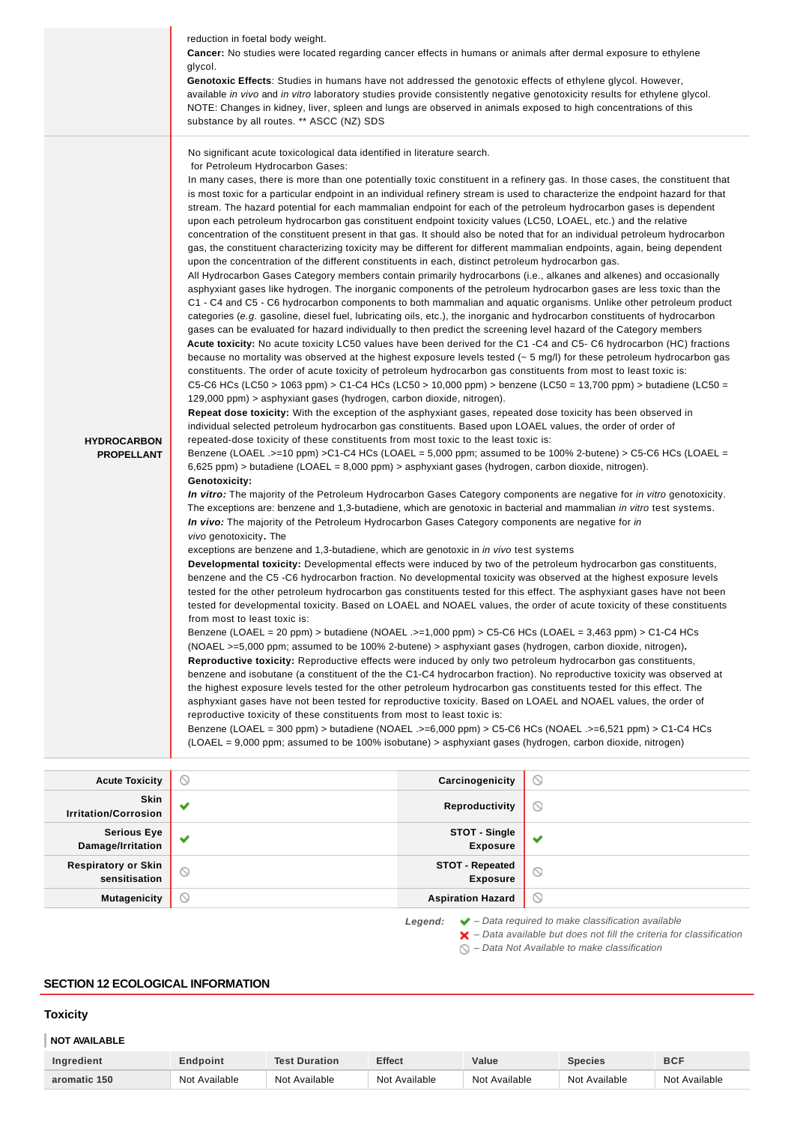|                    | reduction in foetal body weight.                                                                                                                                                                                                                                                                                                                                                                                                                                                                                                                                                                                                                                                                                                                                                                                                                                                                                                                                                                                                                                                                                                                                                                                                                                                                                                                                                                                                                                                                                                                                                                                                                                                                                                                                                                                                                                                                                                                                                                                                                                                                                                                                                                                                                                                                                                                                                                                                                         |
|--------------------|----------------------------------------------------------------------------------------------------------------------------------------------------------------------------------------------------------------------------------------------------------------------------------------------------------------------------------------------------------------------------------------------------------------------------------------------------------------------------------------------------------------------------------------------------------------------------------------------------------------------------------------------------------------------------------------------------------------------------------------------------------------------------------------------------------------------------------------------------------------------------------------------------------------------------------------------------------------------------------------------------------------------------------------------------------------------------------------------------------------------------------------------------------------------------------------------------------------------------------------------------------------------------------------------------------------------------------------------------------------------------------------------------------------------------------------------------------------------------------------------------------------------------------------------------------------------------------------------------------------------------------------------------------------------------------------------------------------------------------------------------------------------------------------------------------------------------------------------------------------------------------------------------------------------------------------------------------------------------------------------------------------------------------------------------------------------------------------------------------------------------------------------------------------------------------------------------------------------------------------------------------------------------------------------------------------------------------------------------------------------------------------------------------------------------------------------------------|
|                    | <b>Cancer:</b> No studies were located regarding cancer effects in humans or animals after dermal exposure to ethylene                                                                                                                                                                                                                                                                                                                                                                                                                                                                                                                                                                                                                                                                                                                                                                                                                                                                                                                                                                                                                                                                                                                                                                                                                                                                                                                                                                                                                                                                                                                                                                                                                                                                                                                                                                                                                                                                                                                                                                                                                                                                                                                                                                                                                                                                                                                                   |
|                    | glycol.                                                                                                                                                                                                                                                                                                                                                                                                                                                                                                                                                                                                                                                                                                                                                                                                                                                                                                                                                                                                                                                                                                                                                                                                                                                                                                                                                                                                                                                                                                                                                                                                                                                                                                                                                                                                                                                                                                                                                                                                                                                                                                                                                                                                                                                                                                                                                                                                                                                  |
|                    | Genotoxic Effects: Studies in humans have not addressed the genotoxic effects of ethylene glycol. However,                                                                                                                                                                                                                                                                                                                                                                                                                                                                                                                                                                                                                                                                                                                                                                                                                                                                                                                                                                                                                                                                                                                                                                                                                                                                                                                                                                                                                                                                                                                                                                                                                                                                                                                                                                                                                                                                                                                                                                                                                                                                                                                                                                                                                                                                                                                                               |
|                    | available in vivo and in vitro laboratory studies provide consistently negative genotoxicity results for ethylene glycol.                                                                                                                                                                                                                                                                                                                                                                                                                                                                                                                                                                                                                                                                                                                                                                                                                                                                                                                                                                                                                                                                                                                                                                                                                                                                                                                                                                                                                                                                                                                                                                                                                                                                                                                                                                                                                                                                                                                                                                                                                                                                                                                                                                                                                                                                                                                                |
|                    | NOTE: Changes in kidney, liver, spleen and lungs are observed in animals exposed to high concentrations of this                                                                                                                                                                                                                                                                                                                                                                                                                                                                                                                                                                                                                                                                                                                                                                                                                                                                                                                                                                                                                                                                                                                                                                                                                                                                                                                                                                                                                                                                                                                                                                                                                                                                                                                                                                                                                                                                                                                                                                                                                                                                                                                                                                                                                                                                                                                                          |
|                    |                                                                                                                                                                                                                                                                                                                                                                                                                                                                                                                                                                                                                                                                                                                                                                                                                                                                                                                                                                                                                                                                                                                                                                                                                                                                                                                                                                                                                                                                                                                                                                                                                                                                                                                                                                                                                                                                                                                                                                                                                                                                                                                                                                                                                                                                                                                                                                                                                                                          |
|                    | substance by all routes. ** ASCC (NZ) SDS<br>No significant acute toxicological data identified in literature search.<br>for Petroleum Hydrocarbon Gases:<br>In many cases, there is more than one potentially toxic constituent in a refinery gas. In those cases, the constituent that<br>is most toxic for a particular endpoint in an individual refinery stream is used to characterize the endpoint hazard for that<br>stream. The hazard potential for each mammalian endpoint for each of the petroleum hydrocarbon gases is dependent<br>upon each petroleum hydrocarbon gas constituent endpoint toxicity values (LC50, LOAEL, etc.) and the relative<br>concentration of the constituent present in that gas. It should also be noted that for an individual petroleum hydrocarbon<br>gas, the constituent characterizing toxicity may be different for different mammalian endpoints, again, being dependent<br>upon the concentration of the different constituents in each, distinct petroleum hydrocarbon gas.<br>All Hydrocarbon Gases Category members contain primarily hydrocarbons (i.e., alkanes and alkenes) and occasionally<br>asphyxiant gases like hydrogen. The inorganic components of the petroleum hydrocarbon gases are less toxic than the<br>C1 - C4 and C5 - C6 hydrocarbon components to both mammalian and aquatic organisms. Unlike other petroleum product<br>categories (e.g. gasoline, diesel fuel, lubricating oils, etc.), the inorganic and hydrocarbon constituents of hydrocarbon<br>gases can be evaluated for hazard individually to then predict the screening level hazard of the Category members<br>Acute toxicity: No acute toxicity LC50 values have been derived for the C1 -C4 and C5- C6 hydrocarbon (HC) fractions<br>because no mortality was observed at the highest exposure levels tested ( $\sim$ 5 mg/l) for these petroleum hydrocarbon gas<br>constituents. The order of acute toxicity of petroleum hydrocarbon gas constituents from most to least toxic is:<br>C5-C6 HCs (LC50 > 1063 ppm) > C1-C4 HCs (LC50 > 10,000 ppm) > benzene (LC50 = 13,700 ppm) > butadiene (LC50 =<br>129,000 ppm) > asphyxiant gases (hydrogen, carbon dioxide, nitrogen).<br>Repeat dose toxicity: With the exception of the asphyxiant gases, repeated dose toxicity has been observed in<br>individual selected petroleum hydrocarbon gas constituents. Based upon LOAEL values, the order of order of |
| <b>HYDROCARBON</b> | repeated-dose toxicity of these constituents from most toxic to the least toxic is:                                                                                                                                                                                                                                                                                                                                                                                                                                                                                                                                                                                                                                                                                                                                                                                                                                                                                                                                                                                                                                                                                                                                                                                                                                                                                                                                                                                                                                                                                                                                                                                                                                                                                                                                                                                                                                                                                                                                                                                                                                                                                                                                                                                                                                                                                                                                                                      |
| <b>PROPELLANT</b>  | Benzene (LOAEL .>=10 ppm) >C1-C4 HCs (LOAEL = 5,000 ppm; assumed to be 100% 2-butene) > C5-C6 HCs (LOAEL =                                                                                                                                                                                                                                                                                                                                                                                                                                                                                                                                                                                                                                                                                                                                                                                                                                                                                                                                                                                                                                                                                                                                                                                                                                                                                                                                                                                                                                                                                                                                                                                                                                                                                                                                                                                                                                                                                                                                                                                                                                                                                                                                                                                                                                                                                                                                               |
|                    | $6,625$ ppm) > butadiene (LOAEL = $8,000$ ppm) > asphyxiant gases (hydrogen, carbon dioxide, nitrogen).<br>Genotoxicity:                                                                                                                                                                                                                                                                                                                                                                                                                                                                                                                                                                                                                                                                                                                                                                                                                                                                                                                                                                                                                                                                                                                                                                                                                                                                                                                                                                                                                                                                                                                                                                                                                                                                                                                                                                                                                                                                                                                                                                                                                                                                                                                                                                                                                                                                                                                                 |
|                    | In vitro: The majority of the Petroleum Hydrocarbon Gases Category components are negative for in vitro genotoxicity.                                                                                                                                                                                                                                                                                                                                                                                                                                                                                                                                                                                                                                                                                                                                                                                                                                                                                                                                                                                                                                                                                                                                                                                                                                                                                                                                                                                                                                                                                                                                                                                                                                                                                                                                                                                                                                                                                                                                                                                                                                                                                                                                                                                                                                                                                                                                    |
|                    | The exceptions are: benzene and 1,3-butadiene, which are genotoxic in bacterial and mammalian in vitro test systems.                                                                                                                                                                                                                                                                                                                                                                                                                                                                                                                                                                                                                                                                                                                                                                                                                                                                                                                                                                                                                                                                                                                                                                                                                                                                                                                                                                                                                                                                                                                                                                                                                                                                                                                                                                                                                                                                                                                                                                                                                                                                                                                                                                                                                                                                                                                                     |
|                    | In vivo: The majority of the Petroleum Hydrocarbon Gases Category components are negative for in                                                                                                                                                                                                                                                                                                                                                                                                                                                                                                                                                                                                                                                                                                                                                                                                                                                                                                                                                                                                                                                                                                                                                                                                                                                                                                                                                                                                                                                                                                                                                                                                                                                                                                                                                                                                                                                                                                                                                                                                                                                                                                                                                                                                                                                                                                                                                         |
|                    | vivo genotoxicity. The                                                                                                                                                                                                                                                                                                                                                                                                                                                                                                                                                                                                                                                                                                                                                                                                                                                                                                                                                                                                                                                                                                                                                                                                                                                                                                                                                                                                                                                                                                                                                                                                                                                                                                                                                                                                                                                                                                                                                                                                                                                                                                                                                                                                                                                                                                                                                                                                                                   |
|                    | exceptions are benzene and 1,3-butadiene, which are genotoxic in <i>in vivo</i> test systems                                                                                                                                                                                                                                                                                                                                                                                                                                                                                                                                                                                                                                                                                                                                                                                                                                                                                                                                                                                                                                                                                                                                                                                                                                                                                                                                                                                                                                                                                                                                                                                                                                                                                                                                                                                                                                                                                                                                                                                                                                                                                                                                                                                                                                                                                                                                                             |
|                    | Developmental toxicity: Developmental effects were induced by two of the petroleum hydrocarbon gas constituents,                                                                                                                                                                                                                                                                                                                                                                                                                                                                                                                                                                                                                                                                                                                                                                                                                                                                                                                                                                                                                                                                                                                                                                                                                                                                                                                                                                                                                                                                                                                                                                                                                                                                                                                                                                                                                                                                                                                                                                                                                                                                                                                                                                                                                                                                                                                                         |
|                    | benzene and the C5 -C6 hydrocarbon fraction. No developmental toxicity was observed at the highest exposure levels                                                                                                                                                                                                                                                                                                                                                                                                                                                                                                                                                                                                                                                                                                                                                                                                                                                                                                                                                                                                                                                                                                                                                                                                                                                                                                                                                                                                                                                                                                                                                                                                                                                                                                                                                                                                                                                                                                                                                                                                                                                                                                                                                                                                                                                                                                                                       |
|                    | tested for the other petroleum hydrocarbon gas constituents tested for this effect. The asphyxiant gases have not been<br>tested for developmental toxicity. Based on LOAEL and NOAEL values, the order of acute toxicity of these constituents                                                                                                                                                                                                                                                                                                                                                                                                                                                                                                                                                                                                                                                                                                                                                                                                                                                                                                                                                                                                                                                                                                                                                                                                                                                                                                                                                                                                                                                                                                                                                                                                                                                                                                                                                                                                                                                                                                                                                                                                                                                                                                                                                                                                          |
|                    | from most to least toxic is:                                                                                                                                                                                                                                                                                                                                                                                                                                                                                                                                                                                                                                                                                                                                                                                                                                                                                                                                                                                                                                                                                                                                                                                                                                                                                                                                                                                                                                                                                                                                                                                                                                                                                                                                                                                                                                                                                                                                                                                                                                                                                                                                                                                                                                                                                                                                                                                                                             |
|                    | Benzene (LOAEL = 20 ppm) > butadiene (NOAEL .>=1,000 ppm) > C5-C6 HCs (LOAEL = 3,463 ppm) > C1-C4 HCs                                                                                                                                                                                                                                                                                                                                                                                                                                                                                                                                                                                                                                                                                                                                                                                                                                                                                                                                                                                                                                                                                                                                                                                                                                                                                                                                                                                                                                                                                                                                                                                                                                                                                                                                                                                                                                                                                                                                                                                                                                                                                                                                                                                                                                                                                                                                                    |
|                    | (NOAEL >=5,000 ppm; assumed to be 100% 2-butene) > asphyxiant gases (hydrogen, carbon dioxide, nitrogen).<br>Reproductive toxicity: Reproductive effects were induced by only two petroleum hydrocarbon gas constituents,                                                                                                                                                                                                                                                                                                                                                                                                                                                                                                                                                                                                                                                                                                                                                                                                                                                                                                                                                                                                                                                                                                                                                                                                                                                                                                                                                                                                                                                                                                                                                                                                                                                                                                                                                                                                                                                                                                                                                                                                                                                                                                                                                                                                                                |
|                    | benzene and isobutane (a constituent of the the C1-C4 hydrocarbon fraction). No reproductive toxicity was observed at                                                                                                                                                                                                                                                                                                                                                                                                                                                                                                                                                                                                                                                                                                                                                                                                                                                                                                                                                                                                                                                                                                                                                                                                                                                                                                                                                                                                                                                                                                                                                                                                                                                                                                                                                                                                                                                                                                                                                                                                                                                                                                                                                                                                                                                                                                                                    |
|                    | the highest exposure levels tested for the other petroleum hydrocarbon gas constituents tested for this effect. The                                                                                                                                                                                                                                                                                                                                                                                                                                                                                                                                                                                                                                                                                                                                                                                                                                                                                                                                                                                                                                                                                                                                                                                                                                                                                                                                                                                                                                                                                                                                                                                                                                                                                                                                                                                                                                                                                                                                                                                                                                                                                                                                                                                                                                                                                                                                      |
|                    | asphyxiant gases have not been tested for reproductive toxicity. Based on LOAEL and NOAEL values, the order of                                                                                                                                                                                                                                                                                                                                                                                                                                                                                                                                                                                                                                                                                                                                                                                                                                                                                                                                                                                                                                                                                                                                                                                                                                                                                                                                                                                                                                                                                                                                                                                                                                                                                                                                                                                                                                                                                                                                                                                                                                                                                                                                                                                                                                                                                                                                           |
|                    | reproductive toxicity of these constituents from most to least toxic is:                                                                                                                                                                                                                                                                                                                                                                                                                                                                                                                                                                                                                                                                                                                                                                                                                                                                                                                                                                                                                                                                                                                                                                                                                                                                                                                                                                                                                                                                                                                                                                                                                                                                                                                                                                                                                                                                                                                                                                                                                                                                                                                                                                                                                                                                                                                                                                                 |
|                    | Benzene (LOAEL = 300 ppm) > butadiene (NOAEL .>=6,000 ppm) > C5-C6 HCs (NOAEL .>=6,521 ppm) > C1-C4 HCs<br>(LOAEL = 9,000 ppm; assumed to be 100% isobutane) > asphyxiant gases (hydrogen, carbon dioxide, nitrogen)                                                                                                                                                                                                                                                                                                                                                                                                                                                                                                                                                                                                                                                                                                                                                                                                                                                                                                                                                                                                                                                                                                                                                                                                                                                                                                                                                                                                                                                                                                                                                                                                                                                                                                                                                                                                                                                                                                                                                                                                                                                                                                                                                                                                                                     |

| <b>Acute Toxicity</b>                       | $\circ$      | Carcinogenicity                           | $\circ$ |
|---------------------------------------------|--------------|-------------------------------------------|---------|
| <b>Skin</b><br><b>Irritation/Corrosion</b>  | $\checkmark$ | Reproductivity                            | $\odot$ |
| <b>Serious Eye</b><br>Damage/Irritation     | $\checkmark$ | <b>STOT - Single</b><br><b>Exposure</b>   |         |
| <b>Respiratory or Skin</b><br>sensitisation | $\circ$      | <b>STOT - Repeated</b><br><b>Exposure</b> | $\circ$ |
| <b>Mutagenicity</b>                         | $\circ$      | <b>Aspiration Hazard</b>                  | $\circ$ |

**Legend:** ◆ - Data required to make classification available

– Data available but does not fill the criteria for classification

– Data Not Available to make classification

## **SECTION 12 ECOLOGICAL INFORMATION**

## **Toxicity**

## **NOT AVAILABLE**

| Ingredient   | Endpoint         | <b>Test Duration</b> | <b>Effect</b> | Value         | <b>Species</b> | <b>BCF</b>    |
|--------------|------------------|----------------------|---------------|---------------|----------------|---------------|
| aromatic 150 | Available<br>Not | Not Available        | Not Available | Not Available | Not Available  | Not Available |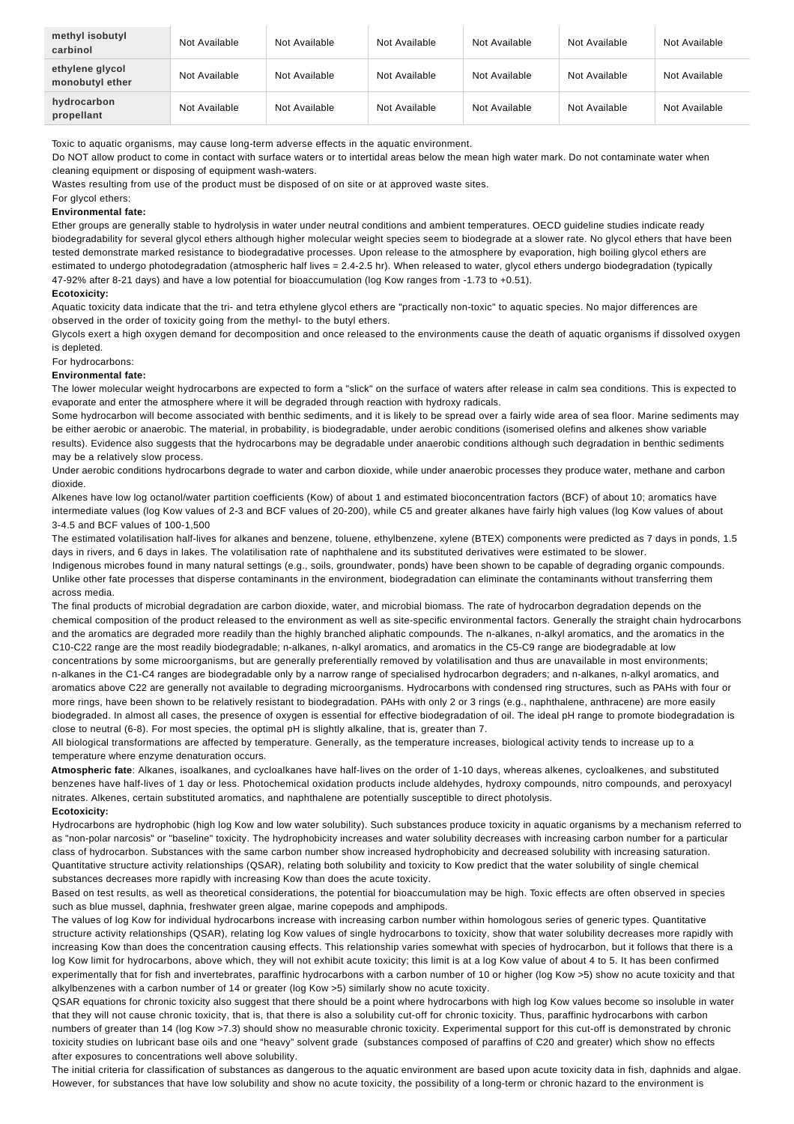| methyl isobutyl<br>carbinol        | Not Available | Not Available | Not Available | Not Available | Not Available | Not Available |
|------------------------------------|---------------|---------------|---------------|---------------|---------------|---------------|
| ethylene glycol<br>monobutyl ether | Not Available | Not Available | Not Available | Not Available | Not Available | Not Available |
| hydrocarbon<br>propellant          | Not Available | Not Available | Not Available | Not Available | Not Available | Not Available |

Toxic to aquatic organisms, may cause long-term adverse effects in the aquatic environment.

Do NOT allow product to come in contact with surface waters or to intertidal areas below the mean high water mark. Do not contaminate water when cleaning equipment or disposing of equipment wash-waters.

Wastes resulting from use of the product must be disposed of on site or at approved waste sites.

For glycol ethers:

### **Environmental fate:**

Ether groups are generally stable to hydrolysis in water under neutral conditions and ambient temperatures. OECD guideline studies indicate ready biodegradability for several glycol ethers although higher molecular weight species seem to biodegrade at a slower rate. No glycol ethers that have been tested demonstrate marked resistance to biodegradative processes. Upon release to the atmosphere by evaporation, high boiling glycol ethers are estimated to undergo photodegradation (atmospheric half lives = 2.4-2.5 hr). When released to water, glycol ethers undergo biodegradation (typically 47-92% after 8-21 days) and have a low potential for bioaccumulation (log Kow ranges from -1.73 to +0.51).

#### **Ecotoxicity:**

Aquatic toxicity data indicate that the tri- and tetra ethylene glycol ethers are "practically non-toxic" to aquatic species. No major differences are observed in the order of toxicity going from the methyl- to the butyl ethers.

Glycols exert a high oxygen demand for decomposition and once released to the environments cause the death of aquatic organisms if dissolved oxygen is depleted.

#### For hydrocarbons:

#### **Environmental fate:**

The lower molecular weight hydrocarbons are expected to form a "slick" on the surface of waters after release in calm sea conditions. This is expected to evaporate and enter the atmosphere where it will be degraded through reaction with hydroxy radicals.

Some hydrocarbon will become associated with benthic sediments, and it is likely to be spread over a fairly wide area of sea floor. Marine sediments may be either aerobic or anaerobic. The material, in probability, is biodegradable, under aerobic conditions (isomerised olefins and alkenes show variable results). Evidence also suggests that the hydrocarbons may be degradable under anaerobic conditions although such degradation in benthic sediments may be a relatively slow process.

Under aerobic conditions hydrocarbons degrade to water and carbon dioxide, while under anaerobic processes they produce water, methane and carbon dioxide.

Alkenes have low log octanol/water partition coefficients (Kow) of about 1 and estimated bioconcentration factors (BCF) of about 10; aromatics have intermediate values (log Kow values of 2-3 and BCF values of 20-200), while C5 and greater alkanes have fairly high values (log Kow values of about 3-4.5 and BCF values of 100-1,500

The estimated volatilisation half-lives for alkanes and benzene, toluene, ethylbenzene, xylene (BTEX) components were predicted as 7 days in ponds, 1.5 days in rivers, and 6 days in lakes. The volatilisation rate of naphthalene and its substituted derivatives were estimated to be slower.

Indigenous microbes found in many natural settings (e.g., soils, groundwater, ponds) have been shown to be capable of degrading organic compounds. Unlike other fate processes that disperse contaminants in the environment, biodegradation can eliminate the contaminants without transferring them across media.

The final products of microbial degradation are carbon dioxide, water, and microbial biomass. The rate of hydrocarbon degradation depends on the chemical composition of the product released to the environment as well as site-specific environmental factors. Generally the straight chain hydrocarbons and the aromatics are degraded more readily than the highly branched aliphatic compounds. The n-alkanes, n-alkyl aromatics, and the aromatics in the C10-C22 range are the most readily biodegradable; n-alkanes, n-alkyl aromatics, and aromatics in the C5-C9 range are biodegradable at low concentrations by some microorganisms, but are generally preferentially removed by volatilisation and thus are unavailable in most environments; n-alkanes in the C1-C4 ranges are biodegradable only by a narrow range of specialised hydrocarbon degraders; and n-alkanes, n-alkyl aromatics, and aromatics above C22 are generally not available to degrading microorganisms. Hydrocarbons with condensed ring structures, such as PAHs with four or more rings, have been shown to be relatively resistant to biodegradation. PAHs with only 2 or 3 rings (e.g., naphthalene, anthracene) are more easily biodegraded. In almost all cases, the presence of oxygen is essential for effective biodegradation of oil. The ideal pH range to promote biodegradation is close to neutral (6-8). For most species, the optimal pH is slightly alkaline, that is, greater than 7.

All biological transformations are affected by temperature. Generally, as the temperature increases, biological activity tends to increase up to a temperature where enzyme denaturation occurs.

**Atmospheric fate**: Alkanes, isoalkanes, and cycloalkanes have half-lives on the order of 1-10 days, whereas alkenes, cycloalkenes, and substituted benzenes have half-lives of 1 day or less. Photochemical oxidation products include aldehydes, hydroxy compounds, nitro compounds, and peroxyacyl nitrates. Alkenes, certain substituted aromatics, and naphthalene are potentially susceptible to direct photolysis.

### **Ecotoxicity:**

Hydrocarbons are hydrophobic (high log Kow and low water solubility). Such substances produce toxicity in aquatic organisms by a mechanism referred to as "non-polar narcosis" or "baseline" toxicity. The hydrophobicity increases and water solubility decreases with increasing carbon number for a particular class of hydrocarbon. Substances with the same carbon number show increased hydrophobicity and decreased solubility with increasing saturation. Quantitative structure activity relationships (QSAR), relating both solubility and toxicity to Kow predict that the water solubility of single chemical substances decreases more rapidly with increasing Kow than does the acute toxicity.

Based on test results, as well as theoretical considerations, the potential for bioaccumulation may be high. Toxic effects are often observed in species such as blue mussel, daphnia, freshwater green algae, marine copepods and amphipods.

The values of log Kow for individual hydrocarbons increase with increasing carbon number within homologous series of generic types. Quantitative structure activity relationships (QSAR), relating log Kow values of single hydrocarbons to toxicity, show that water solubility decreases more rapidly with increasing Kow than does the concentration causing effects. This relationship varies somewhat with species of hydrocarbon, but it follows that there is a log Kow limit for hydrocarbons, above which, they will not exhibit acute toxicity; this limit is at a log Kow value of about 4 to 5. It has been confirmed experimentally that for fish and invertebrates, paraffinic hydrocarbons with a carbon number of 10 or higher (log Kow >5) show no acute toxicity and that alkylbenzenes with a carbon number of 14 or greater (log Kow >5) similarly show no acute toxicity.

QSAR equations for chronic toxicity also suggest that there should be a point where hydrocarbons with high log Kow values become so insoluble in water that they will not cause chronic toxicity, that is, that there is also a solubility cut-off for chronic toxicity. Thus, paraffinic hydrocarbons with carbon numbers of greater than 14 (log Kow >7.3) should show no measurable chronic toxicity. Experimental support for this cut-off is demonstrated by chronic toxicity studies on lubricant base oils and one "heavy" solvent grade (substances composed of paraffins of C20 and greater) which show no effects after exposures to concentrations well above solubility.

The initial criteria for classification of substances as dangerous to the aquatic environment are based upon acute toxicity data in fish, daphnids and algae. However, for substances that have low solubility and show no acute toxicity, the possibility of a long-term or chronic hazard to the environment is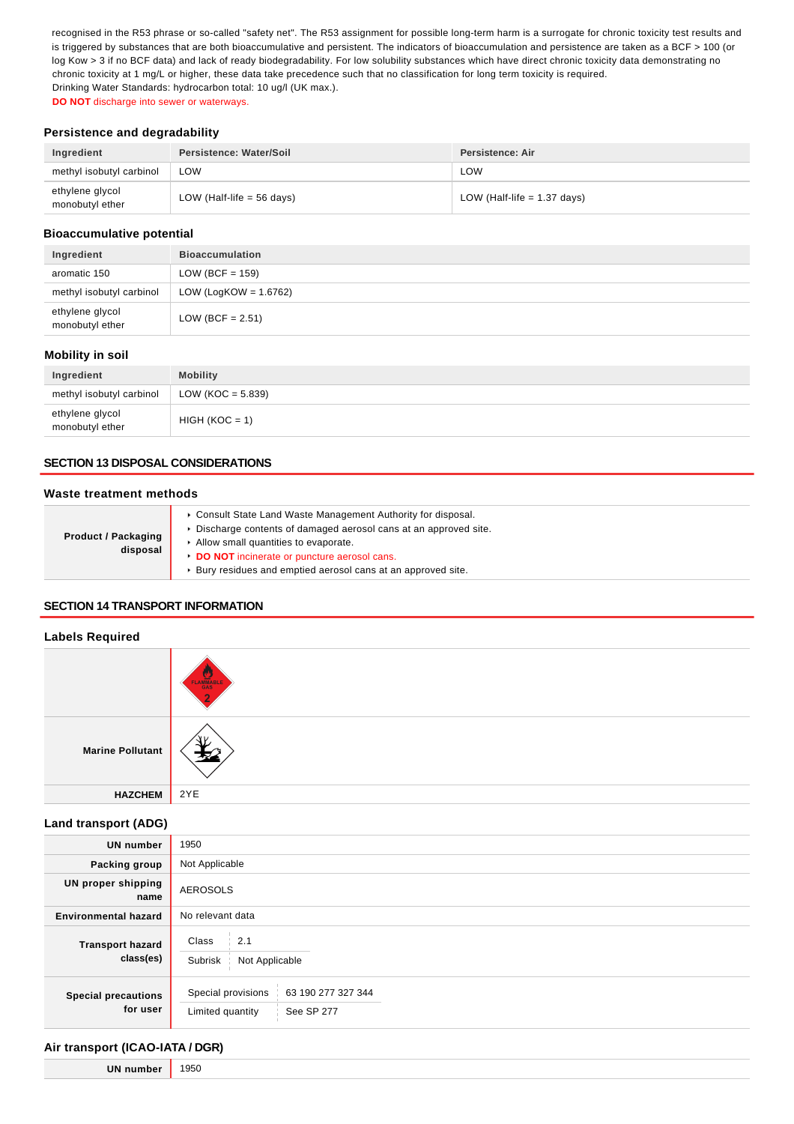recognised in the R53 phrase or so-called "safety net". The R53 assignment for possible long-term harm is a surrogate for chronic toxicity test results and is triggered by substances that are both bioaccumulative and persistent. The indicators of bioaccumulation and persistence are taken as a BCF > 100 (or log Kow > 3 if no BCF data) and lack of ready biodegradability. For low solubility substances which have direct chronic toxicity data demonstrating no chronic toxicity at 1 mg/L or higher, these data take precedence such that no classification for long term toxicity is required. Drinking Water Standards: hydrocarbon total: 10 ug/l (UK max.).

**DO NOT** discharge into sewer or waterways.

## **Persistence and degradability**

| Ingredient                         | Persistence: Water/Soil     | Persistence: Air              |
|------------------------------------|-----------------------------|-------------------------------|
| methyl isobutyl carbinol           | LOW                         | LOW                           |
| ethylene glycol<br>monobutyl ether | LOW (Half-life $= 56$ days) | LOW (Half-life $= 1.37$ days) |

### **Bioaccumulative potential**

| Ingredient                         | <b>Bioaccumulation</b>   |
|------------------------------------|--------------------------|
| aromatic 150                       | $LOW (BCF = 159)$        |
| methyl isobutyl carbinol           | LOW (LogKOW = $1.6762$ ) |
| ethylene glycol<br>monobutyl ether | LOW (BCF = $2.51$ )      |

### **Mobility in soil**

| Ingredient                         | <b>Mobility</b>      |
|------------------------------------|----------------------|
| methyl isobutyl carbinol           | LOW (KOC = $5.839$ ) |
| ethylene glycol<br>monobutyl ether | $HIGH (KOC = 1)$     |

## **SECTION 13 DISPOSAL CONSIDERATIONS**

### **Waste treatment methods**

| <b>Product / Packaging</b><br>disposal | • Consult State Land Waste Management Authority for disposal.     |
|----------------------------------------|-------------------------------------------------------------------|
|                                        | ► Discharge contents of damaged aerosol cans at an approved site. |
|                                        | Allow small quantities to evaporate.                              |
|                                        | DO NOT incinerate or puncture aerosol cans.                       |
|                                        | ▶ Bury residues and emptied aerosol cans at an approved site.     |
|                                        |                                                                   |

## **SECTION 14 TRANSPORT INFORMATION**

### **Labels Required**

|                         | FLAMMABLE |
|-------------------------|-----------|
| <b>Marine Pollutant</b> |           |
| <b>HAZCHEM</b>          | 2YE       |

## **Land transport (ADG)**

| <b>UN number</b>                       | 1950                                                                       |
|----------------------------------------|----------------------------------------------------------------------------|
| Packing group                          | Not Applicable                                                             |
| UN proper shipping<br>name             | <b>AEROSOLS</b>                                                            |
| <b>Environmental hazard</b>            | No relevant data                                                           |
| <b>Transport hazard</b><br>class(es)   | 2.1<br>Class<br>Subrisk<br>Not Applicable                                  |
| <b>Special precautions</b><br>for user | Special provisions<br>63 190 277 327 344<br>Limited quantity<br>See SP 277 |

## **Air transport (ICAO-IATA / DGR)**

**UN number** 1950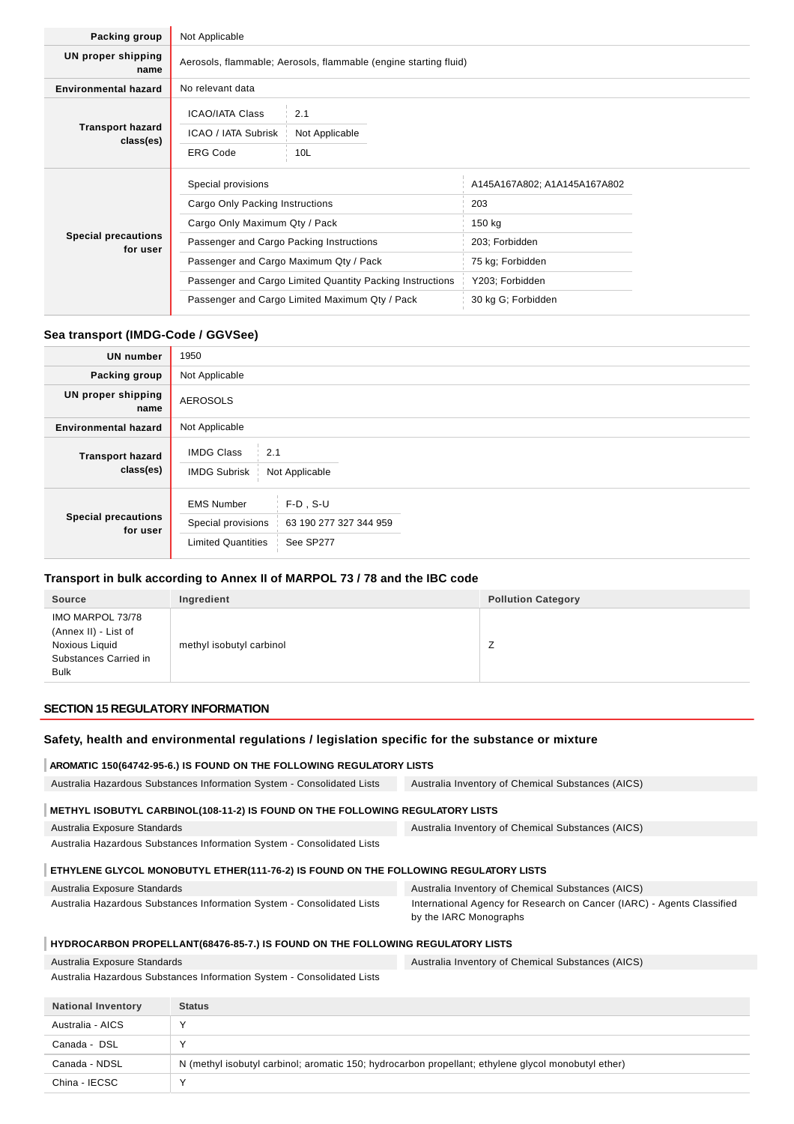| Packing group                          | Not Applicable                                                                                               |                              |
|----------------------------------------|--------------------------------------------------------------------------------------------------------------|------------------------------|
| UN proper shipping<br>name             | Aerosols, flammable; Aerosols, flammable (engine starting fluid)                                             |                              |
| <b>Environmental hazard</b>            | No relevant data                                                                                             |                              |
| <b>Transport hazard</b><br>class(es)   | <b>ICAO/IATA Class</b><br>2.1<br>ICAO / IATA Subrisk<br>Not Applicable<br><b>ERG Code</b><br>10 <sub>L</sub> |                              |
|                                        | Special provisions                                                                                           | A145A167A802; A1A145A167A802 |
|                                        | Cargo Only Packing Instructions                                                                              | 203                          |
| <b>Special precautions</b><br>for user | Cargo Only Maximum Qty / Pack                                                                                | 150 kg                       |
|                                        | Passenger and Cargo Packing Instructions                                                                     | 203; Forbidden               |
|                                        | Passenger and Cargo Maximum Qty / Pack                                                                       | 75 kg; Forbidden             |
|                                        | Passenger and Cargo Limited Quantity Packing Instructions                                                    | Y203; Forbidden              |
|                                        | Passenger and Cargo Limited Maximum Qty / Pack                                                               | 30 kg G; Forbidden           |

### **Sea transport (IMDG-Code / GGVSee)**

| <b>UN number</b>                       | 1950                                                                                                                       |
|----------------------------------------|----------------------------------------------------------------------------------------------------------------------------|
| Packing group                          | Not Applicable                                                                                                             |
| UN proper shipping<br>name             | <b>AEROSOLS</b>                                                                                                            |
| <b>Environmental hazard</b>            | Not Applicable                                                                                                             |
| <b>Transport hazard</b><br>class(es)   | <b>IMDG Class</b><br>2.1<br><b>IMDG Subrisk</b><br>Not Applicable                                                          |
| <b>Special precautions</b><br>for user | $F-D$ , S-U<br><b>EMS Number</b><br>Special provisions<br>63 190 277 327 344 959<br><b>Limited Quantities</b><br>See SP277 |

## **Transport in bulk according to Annex II of MARPOL 73 / 78 and the IBC code**

| <b>Source</b>                                                                                      | Ingredient               | <b>Pollution Category</b> |
|----------------------------------------------------------------------------------------------------|--------------------------|---------------------------|
| IMO MARPOL 73/78<br>(Annex II) - List of<br>Noxious Liquid<br>Substances Carried in<br><b>Bulk</b> | methyl isobutyl carbinol | ∸                         |

### **SECTION 15 REGULATORY INFORMATION**

### **Safety, health and environmental regulations / legislation specific for the substance or mixture**

#### **AROMATIC 150(64742-95-6.) IS FOUND ON THE FOLLOWING REGULATORY LISTS**

Australia Hazardous Substances Information System - Consolidated Lists Australia Inventory of Chemical Substances (AICS)

## **METHYL ISOBUTYL CARBINOL(108-11-2) IS FOUND ON THE FOLLOWING REGULATORY LISTS**

Australia Exposure Standards Australia Hazardous Substances Information System - Consolidated Lists Australia Inventory of Chemical Substances (AICS)

## **ETHYLENE GLYCOL MONOBUTYL ETHER(111-76-2) IS FOUND ON THE FOLLOWING REGULATORY LISTS**

| Australia Exposure Standards                                           | Australia Inventory of Chemical Substances (AICS)                      |
|------------------------------------------------------------------------|------------------------------------------------------------------------|
| Australia Hazardous Substances Information System - Consolidated Lists | International Agency for Research on Cancer (IARC) - Agents Classified |
|                                                                        | by the IARC Monographs                                                 |

## **HYDROCARBON PROPELLANT(68476-85-7.) IS FOUND ON THE FOLLOWING REGULATORY LISTS**

| Australia Exposure Standards                                           |                                                                                                     | Australia Inventory of Chemical Substances (AICS) |
|------------------------------------------------------------------------|-----------------------------------------------------------------------------------------------------|---------------------------------------------------|
| Australia Hazardous Substances Information System - Consolidated Lists |                                                                                                     |                                                   |
| <b>National Inventory</b>                                              | <b>Status</b>                                                                                       |                                                   |
| Australia - AICS                                                       | v                                                                                                   |                                                   |
| Canada - DSL                                                           |                                                                                                     |                                                   |
| Canada - NDSL                                                          | N (methyl isobutyl carbinol; aromatic 150; hydrocarbon propellant; ethylene glycol monobutyl ether) |                                                   |
| China - IECSC                                                          |                                                                                                     |                                                   |